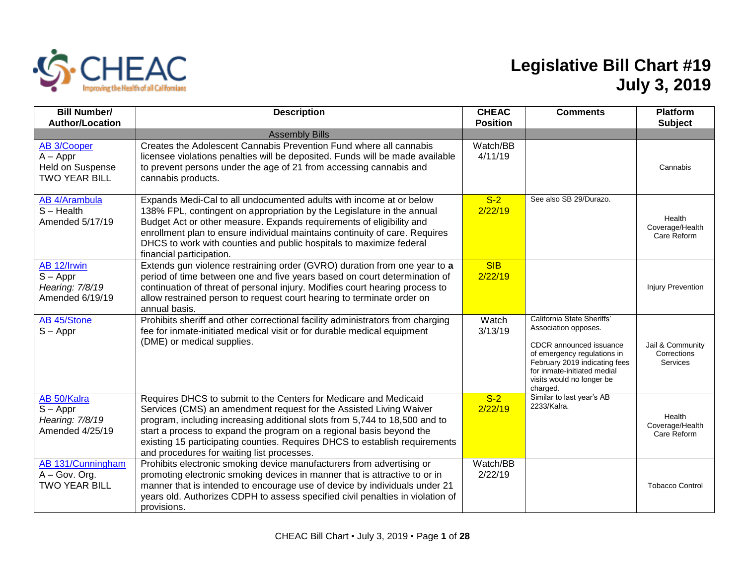

## **Legislative Bill Chart #19 July 3, 2019**

| <b>Bill Number/</b><br><b>Author/Location</b>                                | <b>Description</b>                                                                                                                                                                                                                                                                                                                                                                                                        | <b>CHEAC</b><br><b>Position</b> | <b>Comments</b>                                                                                                                                                                                                       | <b>Platform</b><br><b>Subject</b>                  |
|------------------------------------------------------------------------------|---------------------------------------------------------------------------------------------------------------------------------------------------------------------------------------------------------------------------------------------------------------------------------------------------------------------------------------------------------------------------------------------------------------------------|---------------------------------|-----------------------------------------------------------------------------------------------------------------------------------------------------------------------------------------------------------------------|----------------------------------------------------|
|                                                                              | <b>Assembly Bills</b>                                                                                                                                                                                                                                                                                                                                                                                                     |                                 |                                                                                                                                                                                                                       |                                                    |
| <b>AB 3/Cooper</b><br>$A - Appr$<br>Held on Suspense<br><b>TWO YEAR BILL</b> | Creates the Adolescent Cannabis Prevention Fund where all cannabis<br>licensee violations penalties will be deposited. Funds will be made available<br>to prevent persons under the age of 21 from accessing cannabis and<br>cannabis products.                                                                                                                                                                           | Watch/BB<br>4/11/19             |                                                                                                                                                                                                                       | Cannabis                                           |
| <b>AB 4/Arambula</b><br>$S - Health$<br>Amended 5/17/19                      | Expands Medi-Cal to all undocumented adults with income at or below<br>138% FPL, contingent on appropriation by the Legislature in the annual<br>Budget Act or other measure. Expands requirements of eligibility and<br>enrollment plan to ensure individual maintains continuity of care. Requires<br>DHCS to work with counties and public hospitals to maximize federal<br>financial participation.                   | $S-2$<br>2/22/19                | See also SB 29/Durazo.                                                                                                                                                                                                | Health<br>Coverage/Health<br>Care Reform           |
| AB 12/Irwin<br>$S - Appr$<br>Hearing: 7/8/19<br>Amended 6/19/19              | Extends gun violence restraining order (GVRO) duration from one year to a<br>period of time between one and five years based on court determination of<br>continuation of threat of personal injury. Modifies court hearing process to<br>allow restrained person to request court hearing to terminate order on<br>annual basis.                                                                                         | <b>SIB</b><br>2/22/19           |                                                                                                                                                                                                                       | <b>Injury Prevention</b>                           |
| AB 45/Stone<br>$S - Appr$                                                    | Prohibits sheriff and other correctional facility administrators from charging<br>fee for inmate-initiated medical visit or for durable medical equipment<br>(DME) or medical supplies.                                                                                                                                                                                                                                   | Watch<br>3/13/19                | California State Sheriffs'<br>Association opposes.<br>CDCR announced issuance<br>of emergency regulations in<br>February 2019 indicating fees<br>for inmate-initiated medial<br>visits would no longer be<br>charged. | Jail & Community<br>Corrections<br><b>Services</b> |
| AB 50/Kalra<br>$S - Appr$<br>Hearing: 7/8/19<br>Amended 4/25/19              | Requires DHCS to submit to the Centers for Medicare and Medicaid<br>Services (CMS) an amendment request for the Assisted Living Waiver<br>program, including increasing additional slots from 5,744 to 18,500 and to<br>start a process to expand the program on a regional basis beyond the<br>existing 15 participating counties. Requires DHCS to establish requirements<br>and procedures for waiting list processes. | $S-2$<br>2/22/19                | Similar to last year's AB<br>2233/Kalra.                                                                                                                                                                              | Health<br>Coverage/Health<br>Care Reform           |
| AB 131/Cunningham<br>A - Gov. Org.<br><b>TWO YEAR BILL</b>                   | Prohibits electronic smoking device manufacturers from advertising or<br>promoting electronic smoking devices in manner that is attractive to or in<br>manner that is intended to encourage use of device by individuals under 21<br>years old. Authorizes CDPH to assess specified civil penalties in violation of<br>provisions.                                                                                        | Watch/BB<br>2/22/19             |                                                                                                                                                                                                                       | <b>Tobacco Control</b>                             |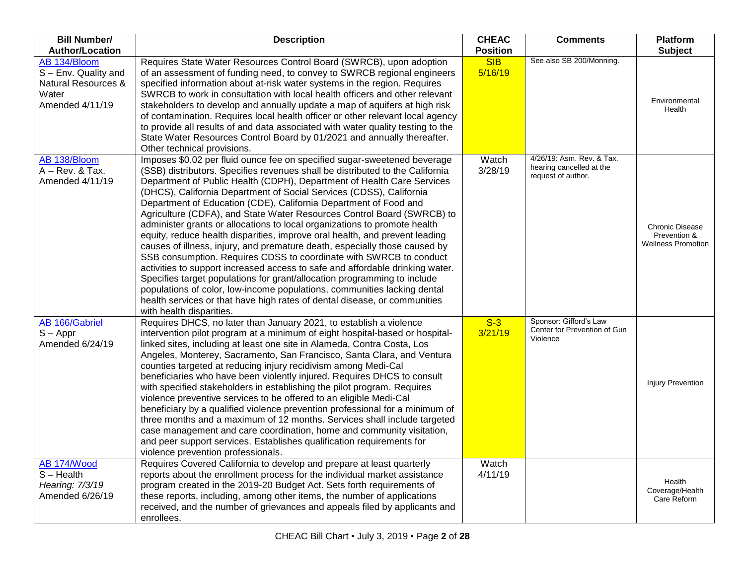| <b>Bill Number/</b>                                                                     | <b>Description</b>                                                                                                                                                                                                                                                                                                                                                                                                                                                                                                                                                                                                                                                                                                                                                                                                                                                                                                                                                                                                                                                                                                         | <b>CHEAC</b>          | <b>Comments</b>                                                             | <b>Platform</b>                                                     |
|-----------------------------------------------------------------------------------------|----------------------------------------------------------------------------------------------------------------------------------------------------------------------------------------------------------------------------------------------------------------------------------------------------------------------------------------------------------------------------------------------------------------------------------------------------------------------------------------------------------------------------------------------------------------------------------------------------------------------------------------------------------------------------------------------------------------------------------------------------------------------------------------------------------------------------------------------------------------------------------------------------------------------------------------------------------------------------------------------------------------------------------------------------------------------------------------------------------------------------|-----------------------|-----------------------------------------------------------------------------|---------------------------------------------------------------------|
| <b>Author/Location</b>                                                                  |                                                                                                                                                                                                                                                                                                                                                                                                                                                                                                                                                                                                                                                                                                                                                                                                                                                                                                                                                                                                                                                                                                                            | <b>Position</b>       |                                                                             | <b>Subject</b>                                                      |
| AB 134/Bloom<br>S - Env. Quality and<br>Natural Resources &<br>Water<br>Amended 4/11/19 | Requires State Water Resources Control Board (SWRCB), upon adoption<br>of an assessment of funding need, to convey to SWRCB regional engineers<br>specified information about at-risk water systems in the region. Requires<br>SWRCB to work in consultation with local health officers and other relevant<br>stakeholders to develop and annually update a map of aquifers at high risk<br>of contamination. Requires local health officer or other relevant local agency<br>to provide all results of and data associated with water quality testing to the<br>State Water Resources Control Board by 01/2021 and annually thereafter.<br>Other technical provisions.                                                                                                                                                                                                                                                                                                                                                                                                                                                    | <b>SIB</b><br>5/16/19 | See also SB 200/Monning.                                                    | Environmental<br>Health                                             |
| AB 138/Bloom<br>A - Rev. & Tax.<br>Amended 4/11/19                                      | Imposes \$0.02 per fluid ounce fee on specified sugar-sweetened beverage<br>(SSB) distributors. Specifies revenues shall be distributed to the California<br>Department of Public Health (CDPH), Department of Health Care Services<br>(DHCS), California Department of Social Services (CDSS), California<br>Department of Education (CDE), California Department of Food and<br>Agriculture (CDFA), and State Water Resources Control Board (SWRCB) to<br>administer grants or allocations to local organizations to promote health<br>equity, reduce health disparities, improve oral health, and prevent leading<br>causes of illness, injury, and premature death, especially those caused by<br>SSB consumption. Requires CDSS to coordinate with SWRCB to conduct<br>activities to support increased access to safe and affordable drinking water.<br>Specifies target populations for grant/allocation programming to include<br>populations of color, low-income populations, communities lacking dental<br>health services or that have high rates of dental disease, or communities<br>with health disparities. | Watch<br>3/28/19      | 4/26/19: Asm. Rev. & Tax.<br>hearing cancelled at the<br>request of author. | <b>Chronic Disease</b><br>Prevention &<br><b>Wellness Promotion</b> |
| <b>AB 166/Gabriel</b><br>$S - Appr$<br>Amended 6/24/19                                  | Requires DHCS, no later than January 2021, to establish a violence<br>intervention pilot program at a minimum of eight hospital-based or hospital-<br>linked sites, including at least one site in Alameda, Contra Costa, Los<br>Angeles, Monterey, Sacramento, San Francisco, Santa Clara, and Ventura<br>counties targeted at reducing injury recidivism among Medi-Cal<br>beneficiaries who have been violently injured. Requires DHCS to consult<br>with specified stakeholders in establishing the pilot program. Requires<br>violence preventive services to be offered to an eligible Medi-Cal<br>beneficiary by a qualified violence prevention professional for a minimum of<br>three months and a maximum of 12 months. Services shall include targeted<br>case management and care coordination, home and community visitation,<br>and peer support services. Establishes qualification requirements for<br>violence prevention professionals.                                                                                                                                                                  | $S-3$<br>3/21/19      | Sponsor: Gifford's Law<br>Center for Prevention of Gun<br>Violence          | Injury Prevention                                                   |
| AB 174/Wood<br>$S - Health$<br>Hearing: 7/3/19<br>Amended 6/26/19                       | Requires Covered California to develop and prepare at least quarterly<br>reports about the enrollment process for the individual market assistance<br>program created in the 2019-20 Budget Act. Sets forth requirements of<br>these reports, including, among other items, the number of applications<br>received, and the number of grievances and appeals filed by applicants and<br>enrollees.                                                                                                                                                                                                                                                                                                                                                                                                                                                                                                                                                                                                                                                                                                                         | Watch<br>4/11/19      |                                                                             | Health<br>Coverage/Health<br>Care Reform                            |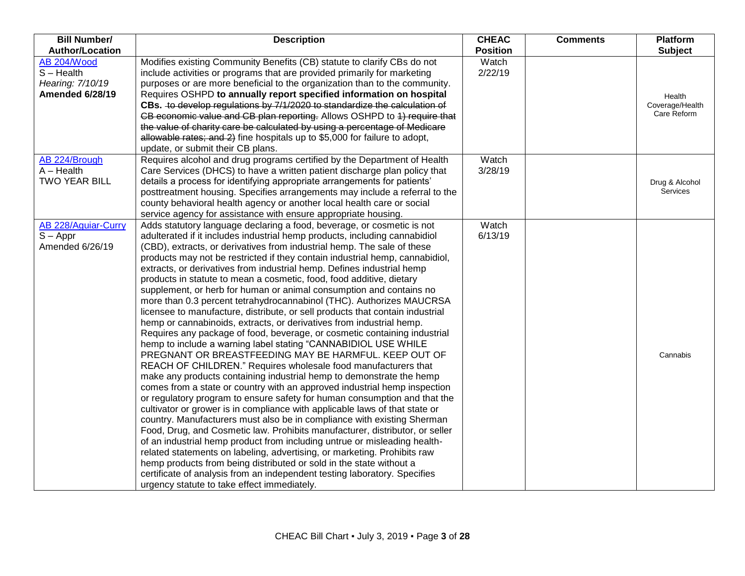| <b>Bill Number/</b><br><b>Author/Location</b>                             | <b>Description</b>                                                                                                                                                                                                                                                                                                                                                                                                                                                                                                                                                                                                                                                                                                                                                                                                                                                                                                                                                                                                                                                                                                                                                                                                                                                                                                                                                                                                                                                                                                                                                                                                                                                                                                                                                                                                                                                                          | <b>CHEAC</b><br><b>Position</b> | <b>Comments</b> | <b>Platform</b><br><b>Subject</b>        |
|---------------------------------------------------------------------------|---------------------------------------------------------------------------------------------------------------------------------------------------------------------------------------------------------------------------------------------------------------------------------------------------------------------------------------------------------------------------------------------------------------------------------------------------------------------------------------------------------------------------------------------------------------------------------------------------------------------------------------------------------------------------------------------------------------------------------------------------------------------------------------------------------------------------------------------------------------------------------------------------------------------------------------------------------------------------------------------------------------------------------------------------------------------------------------------------------------------------------------------------------------------------------------------------------------------------------------------------------------------------------------------------------------------------------------------------------------------------------------------------------------------------------------------------------------------------------------------------------------------------------------------------------------------------------------------------------------------------------------------------------------------------------------------------------------------------------------------------------------------------------------------------------------------------------------------------------------------------------------------|---------------------------------|-----------------|------------------------------------------|
| AB 204/Wood<br>$S -$ Health<br>Hearing: 7/10/19<br><b>Amended 6/28/19</b> | Modifies existing Community Benefits (CB) statute to clarify CBs do not<br>include activities or programs that are provided primarily for marketing<br>purposes or are more beneficial to the organization than to the community.<br>Requires OSHPD to annually report specified information on hospital<br>CBs. to develop regulations by 7/1/2020 to standardize the calculation of<br>CB economic value and CB plan reporting. Allows OSHPD to 4) require that<br>the value of charity care be calculated by using a percentage of Medicare<br>allowable rates; and 2) fine hospitals up to \$5,000 for failure to adopt,<br>update, or submit their CB plans.                                                                                                                                                                                                                                                                                                                                                                                                                                                                                                                                                                                                                                                                                                                                                                                                                                                                                                                                                                                                                                                                                                                                                                                                                           | Watch<br>2/22/19                |                 | Health<br>Coverage/Health<br>Care Reform |
| AB 224/Brough<br>$A - Health$<br><b>TWO YEAR BILL</b>                     | Requires alcohol and drug programs certified by the Department of Health<br>Care Services (DHCS) to have a written patient discharge plan policy that<br>details a process for identifying appropriate arrangements for patients'<br>posttreatment housing. Specifies arrangements may include a referral to the<br>county behavioral health agency or another local health care or social<br>service agency for assistance with ensure appropriate housing.                                                                                                                                                                                                                                                                                                                                                                                                                                                                                                                                                                                                                                                                                                                                                                                                                                                                                                                                                                                                                                                                                                                                                                                                                                                                                                                                                                                                                                | Watch<br>3/28/19                |                 | Drug & Alcohol<br><b>Services</b>        |
| AB 228/Aguiar-Curry<br>$S - Appr$<br>Amended 6/26/19                      | Adds statutory language declaring a food, beverage, or cosmetic is not<br>adulterated if it includes industrial hemp products, including cannabidiol<br>(CBD), extracts, or derivatives from industrial hemp. The sale of these<br>products may not be restricted if they contain industrial hemp, cannabidiol,<br>extracts, or derivatives from industrial hemp. Defines industrial hemp<br>products in statute to mean a cosmetic, food, food additive, dietary<br>supplement, or herb for human or animal consumption and contains no<br>more than 0.3 percent tetrahydrocannabinol (THC). Authorizes MAUCRSA<br>licensee to manufacture, distribute, or sell products that contain industrial<br>hemp or cannabinoids, extracts, or derivatives from industrial hemp.<br>Requires any package of food, beverage, or cosmetic containing industrial<br>hemp to include a warning label stating "CANNABIDIOL USE WHILE<br>PREGNANT OR BREASTFEEDING MAY BE HARMFUL. KEEP OUT OF<br>REACH OF CHILDREN." Requires wholesale food manufacturers that<br>make any products containing industrial hemp to demonstrate the hemp<br>comes from a state or country with an approved industrial hemp inspection<br>or regulatory program to ensure safety for human consumption and that the<br>cultivator or grower is in compliance with applicable laws of that state or<br>country. Manufacturers must also be in compliance with existing Sherman<br>Food, Drug, and Cosmetic law. Prohibits manufacturer, distributor, or seller<br>of an industrial hemp product from including untrue or misleading health-<br>related statements on labeling, advertising, or marketing. Prohibits raw<br>hemp products from being distributed or sold in the state without a<br>certificate of analysis from an independent testing laboratory. Specifies<br>urgency statute to take effect immediately. | Watch<br>6/13/19                |                 | Cannabis                                 |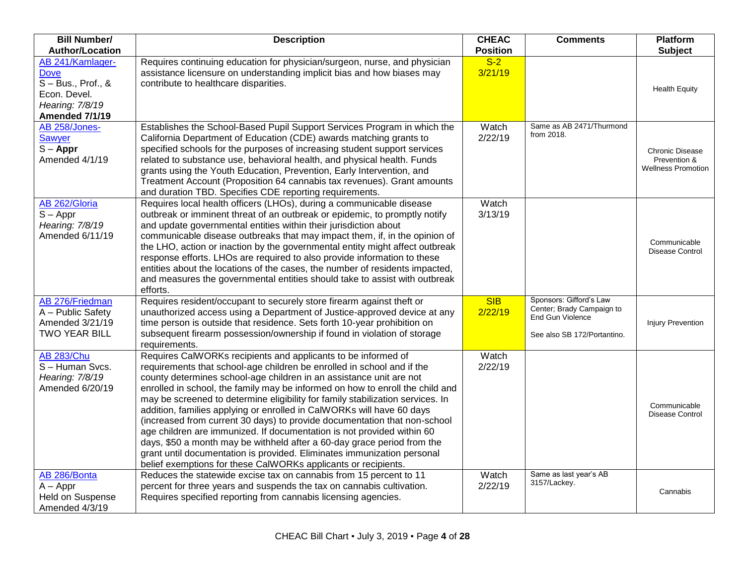| <b>Bill Number/</b><br><b>Author/Location</b>                                            | <b>Description</b>                                                                                                                                                                                                                                                                                                                                                                                                                                                                                                                                                                                                                                                                                                                                                                                                                        | <b>CHEAC</b>             | <b>Comments</b>                                                                                         | <b>Platform</b>                                                     |
|------------------------------------------------------------------------------------------|-------------------------------------------------------------------------------------------------------------------------------------------------------------------------------------------------------------------------------------------------------------------------------------------------------------------------------------------------------------------------------------------------------------------------------------------------------------------------------------------------------------------------------------------------------------------------------------------------------------------------------------------------------------------------------------------------------------------------------------------------------------------------------------------------------------------------------------------|--------------------------|---------------------------------------------------------------------------------------------------------|---------------------------------------------------------------------|
| AB 241/Kamlager-                                                                         | Requires continuing education for physician/surgeon, nurse, and physician                                                                                                                                                                                                                                                                                                                                                                                                                                                                                                                                                                                                                                                                                                                                                                 | <b>Position</b><br>$S-2$ |                                                                                                         | <b>Subject</b>                                                      |
| <b>Dove</b><br>$S - Bus., Prof., &$<br>Econ. Devel.<br>Hearing: 7/8/19<br>Amended 7/1/19 | assistance licensure on understanding implicit bias and how biases may<br>contribute to healthcare disparities.                                                                                                                                                                                                                                                                                                                                                                                                                                                                                                                                                                                                                                                                                                                           | 3/21/19                  |                                                                                                         | <b>Health Equity</b>                                                |
| AB 258/Jones-<br><b>Sawyer</b><br>$S - Appr$<br>Amended 4/1/19                           | Establishes the School-Based Pupil Support Services Program in which the<br>California Department of Education (CDE) awards matching grants to<br>specified schools for the purposes of increasing student support services<br>related to substance use, behavioral health, and physical health. Funds<br>grants using the Youth Education, Prevention, Early Intervention, and<br>Treatment Account (Proposition 64 cannabis tax revenues). Grant amounts<br>and duration TBD. Specifies CDE reporting requirements.                                                                                                                                                                                                                                                                                                                     | Watch<br>2/22/19         | Same as AB 2471/Thurmond<br>from 2018.                                                                  | <b>Chronic Disease</b><br>Prevention &<br><b>Wellness Promotion</b> |
| AB 262/Gloria<br>$S - Appr$<br>Hearing: 7/8/19<br>Amended 6/11/19                        | Requires local health officers (LHOs), during a communicable disease<br>outbreak or imminent threat of an outbreak or epidemic, to promptly notify<br>and update governmental entities within their jurisdiction about<br>communicable disease outbreaks that may impact them, if, in the opinion of<br>the LHO, action or inaction by the governmental entity might affect outbreak<br>response efforts. LHOs are required to also provide information to these<br>entities about the locations of the cases, the number of residents impacted,<br>and measures the governmental entities should take to assist with outbreak<br>efforts.                                                                                                                                                                                                | Watch<br>3/13/19         |                                                                                                         | Communicable<br>Disease Control                                     |
| AB 276/Friedman<br>A - Public Safety<br>Amended 3/21/19<br><b>TWO YEAR BILL</b>          | Requires resident/occupant to securely store firearm against theft or<br>unauthorized access using a Department of Justice-approved device at any<br>time person is outside that residence. Sets forth 10-year prohibition on<br>subsequent firearm possession/ownership if found in violation of storage<br>requirements.                                                                                                                                                                                                                                                                                                                                                                                                                                                                                                                | <b>SIB</b><br>2/22/19    | Sponsors: Gifford's Law<br>Center; Brady Campaign to<br>End Gun Violence<br>See also SB 172/Portantino. | Injury Prevention                                                   |
| <b>AB 283/Chu</b><br>S-Human Svcs.<br>Hearing: 7/8/19<br>Amended 6/20/19                 | Requires CalWORKs recipients and applicants to be informed of<br>requirements that school-age children be enrolled in school and if the<br>county determines school-age children in an assistance unit are not<br>enrolled in school, the family may be informed on how to enroll the child and<br>may be screened to determine eligibility for family stabilization services. In<br>addition, families applying or enrolled in CalWORKs will have 60 days<br>(increased from current 30 days) to provide documentation that non-school<br>age children are immunized. If documentation is not provided within 60<br>days, \$50 a month may be withheld after a 60-day grace period from the<br>grant until documentation is provided. Eliminates immunization personal<br>belief exemptions for these CalWORKs applicants or recipients. | Watch<br>2/22/19         |                                                                                                         | Communicable<br>Disease Control                                     |
| AB 286/Bonta<br>$A - Appr$<br><b>Held on Suspense</b><br>Amended 4/3/19                  | Reduces the statewide excise tax on cannabis from 15 percent to 11<br>percent for three years and suspends the tax on cannabis cultivation.<br>Requires specified reporting from cannabis licensing agencies.                                                                                                                                                                                                                                                                                                                                                                                                                                                                                                                                                                                                                             | Watch<br>2/22/19         | Same as last year's AB<br>3157/Lackey.                                                                  | Cannabis                                                            |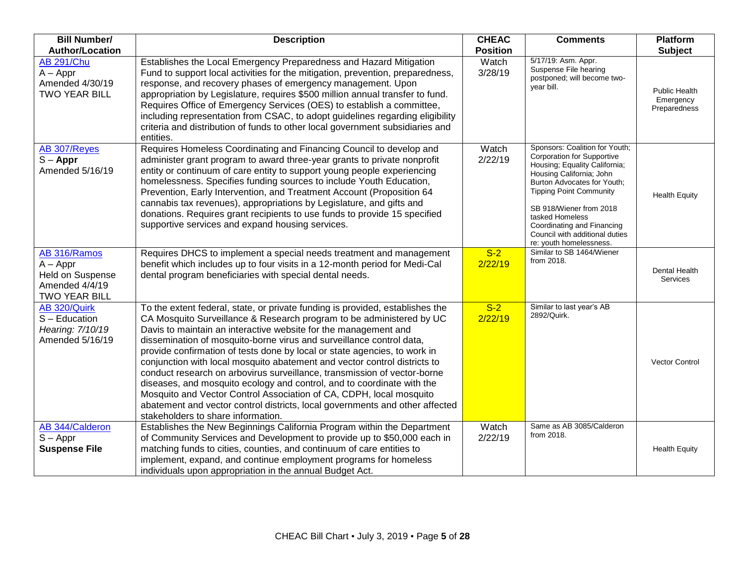| <b>Bill Number/</b><br><b>Author/Location</b>                                     | <b>Description</b>                                                                                                                                                                                                                                                                                                                                                                                                                                                                                                                                                                                                                                                                                                                                                                                            | <b>CHEAC</b><br><b>Position</b> | <b>Comments</b>                                                                                                                                                                                                                                                                                                                     | Platform<br><b>Subject</b>                        |
|-----------------------------------------------------------------------------------|---------------------------------------------------------------------------------------------------------------------------------------------------------------------------------------------------------------------------------------------------------------------------------------------------------------------------------------------------------------------------------------------------------------------------------------------------------------------------------------------------------------------------------------------------------------------------------------------------------------------------------------------------------------------------------------------------------------------------------------------------------------------------------------------------------------|---------------------------------|-------------------------------------------------------------------------------------------------------------------------------------------------------------------------------------------------------------------------------------------------------------------------------------------------------------------------------------|---------------------------------------------------|
| <b>AB 291/Chu</b><br>$A - Appr$<br>Amended 4/30/19<br><b>TWO YEAR BILL</b>        | Establishes the Local Emergency Preparedness and Hazard Mitigation<br>Fund to support local activities for the mitigation, prevention, preparedness,<br>response, and recovery phases of emergency management. Upon<br>appropriation by Legislature, requires \$500 million annual transfer to fund.<br>Requires Office of Emergency Services (OES) to establish a committee,<br>including representation from CSAC, to adopt guidelines regarding eligibility<br>criteria and distribution of funds to other local government subsidiaries and<br>entities.                                                                                                                                                                                                                                                  | Watch<br>3/28/19                | 5/17/19: Asm. Appr.<br>Suspense File hearing<br>postponed; will become two-<br>vear bill.                                                                                                                                                                                                                                           | <b>Public Health</b><br>Emergency<br>Preparedness |
| AB 307/Reyes<br>$S - Appr$<br>Amended 5/16/19                                     | Requires Homeless Coordinating and Financing Council to develop and<br>administer grant program to award three-year grants to private nonprofit<br>entity or continuum of care entity to support young people experiencing<br>homelessness. Specifies funding sources to include Youth Education,<br>Prevention, Early Intervention, and Treatment Account (Proposition 64<br>cannabis tax revenues), appropriations by Legislature, and gifts and<br>donations. Requires grant recipients to use funds to provide 15 specified<br>supportive services and expand housing services.                                                                                                                                                                                                                           | Watch<br>2/22/19                | Sponsors: Coalition for Youth;<br>Corporation for Supportive<br>Housing; Equality California;<br>Housing California; John<br>Burton Advocates for Youth;<br><b>Tipping Point Community</b><br>SB 918/Wiener from 2018<br>tasked Homeless<br>Coordinating and Financing<br>Council with additional duties<br>re: youth homelessness. | <b>Health Equity</b>                              |
| AB 316/Ramos<br>$A - Appr$<br>Held on Suspense<br>Amended 4/4/19<br>TWO YEAR BILL | Requires DHCS to implement a special needs treatment and management<br>benefit which includes up to four visits in a 12-month period for Medi-Cal<br>dental program beneficiaries with special dental needs.                                                                                                                                                                                                                                                                                                                                                                                                                                                                                                                                                                                                  | $S-2$<br>2/22/19                | Similar to SB 1464/Wiener<br>from 2018.                                                                                                                                                                                                                                                                                             | Dental Health<br><b>Services</b>                  |
| AB 320/Quirk<br>S - Education<br>Hearing: 7/10/19<br>Amended 5/16/19              | To the extent federal, state, or private funding is provided, establishes the<br>CA Mosquito Surveillance & Research program to be administered by UC<br>Davis to maintain an interactive website for the management and<br>dissemination of mosquito-borne virus and surveillance control data,<br>provide confirmation of tests done by local or state agencies, to work in<br>conjunction with local mosquito abatement and vector control districts to<br>conduct research on arbovirus surveillance, transmission of vector-borne<br>diseases, and mosquito ecology and control, and to coordinate with the<br>Mosquito and Vector Control Association of CA, CDPH, local mosquito<br>abatement and vector control districts, local governments and other affected<br>stakeholders to share information. | $S-2$<br>2/22/19                | Similar to last year's AB<br>2892/Quirk.                                                                                                                                                                                                                                                                                            | <b>Vector Control</b>                             |
| AB 344/Calderon<br>$S - Appr$<br><b>Suspense File</b>                             | Establishes the New Beginnings California Program within the Department<br>of Community Services and Development to provide up to \$50,000 each in<br>matching funds to cities, counties, and continuum of care entities to<br>implement, expand, and continue employment programs for homeless<br>individuals upon appropriation in the annual Budget Act.                                                                                                                                                                                                                                                                                                                                                                                                                                                   | Watch<br>2/22/19                | Same as AB 3085/Calderon<br>from 2018.                                                                                                                                                                                                                                                                                              | <b>Health Equity</b>                              |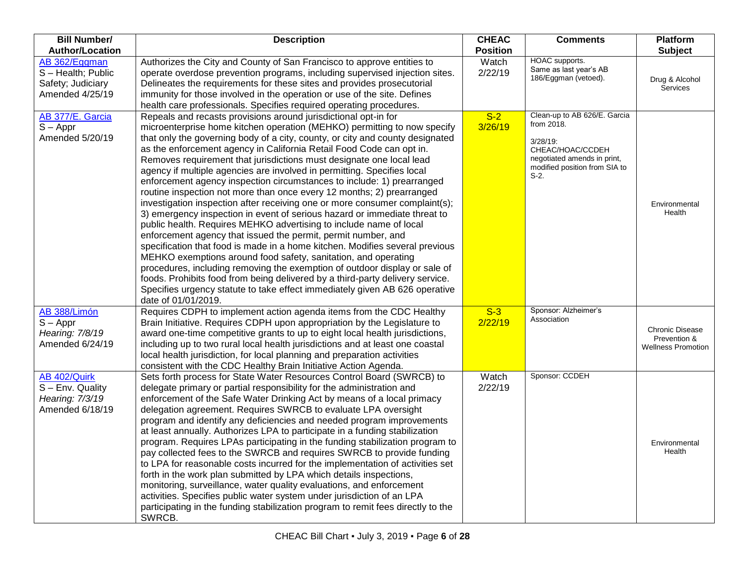| <b>Bill Number/</b><br><b>Author/Location</b>                             | <b>Description</b>                                                                                                                                                                                                                                                                                                                                                                                                                                                                                                                                                                                                                                                                                                                                                                                                                                                                                                                                                                                                                                                                                                                                                                                                                                                                                                                   | <b>CHEAC</b><br><b>Position</b> | <b>Comments</b>                                                                                                                                          | <b>Platform</b><br><b>Subject</b>                                   |
|---------------------------------------------------------------------------|--------------------------------------------------------------------------------------------------------------------------------------------------------------------------------------------------------------------------------------------------------------------------------------------------------------------------------------------------------------------------------------------------------------------------------------------------------------------------------------------------------------------------------------------------------------------------------------------------------------------------------------------------------------------------------------------------------------------------------------------------------------------------------------------------------------------------------------------------------------------------------------------------------------------------------------------------------------------------------------------------------------------------------------------------------------------------------------------------------------------------------------------------------------------------------------------------------------------------------------------------------------------------------------------------------------------------------------|---------------------------------|----------------------------------------------------------------------------------------------------------------------------------------------------------|---------------------------------------------------------------------|
| AB 362/Eggman<br>S-Health; Public<br>Safety; Judiciary<br>Amended 4/25/19 | Authorizes the City and County of San Francisco to approve entities to<br>operate overdose prevention programs, including supervised injection sites.<br>Delineates the requirements for these sites and provides prosecutorial<br>immunity for those involved in the operation or use of the site. Defines<br>health care professionals. Specifies required operating procedures.                                                                                                                                                                                                                                                                                                                                                                                                                                                                                                                                                                                                                                                                                                                                                                                                                                                                                                                                                   | Watch<br>2/22/19                | <b>HOAC</b> supports.<br>Same as last year's AB<br>186/Eggman (vetoed).                                                                                  | Drug & Alcohol<br><b>Services</b>                                   |
| AB 377/E. Garcia<br>$S - Appr$<br>Amended 5/20/19                         | Repeals and recasts provisions around jurisdictional opt-in for<br>microenterprise home kitchen operation (MEHKO) permitting to now specify<br>that only the governing body of a city, county, or city and county designated<br>as the enforcement agency in California Retail Food Code can opt in.<br>Removes requirement that jurisdictions must designate one local lead<br>agency if multiple agencies are involved in permitting. Specifies local<br>enforcement agency inspection circumstances to include: 1) prearranged<br>routine inspection not more than once every 12 months; 2) prearranged<br>investigation inspection after receiving one or more consumer complaint(s);<br>3) emergency inspection in event of serious hazard or immediate threat to<br>public health. Requires MEHKO advertising to include name of local<br>enforcement agency that issued the permit, permit number, and<br>specification that food is made in a home kitchen. Modifies several previous<br>MEHKO exemptions around food safety, sanitation, and operating<br>procedures, including removing the exemption of outdoor display or sale of<br>foods. Prohibits food from being delivered by a third-party delivery service.<br>Specifies urgency statute to take effect immediately given AB 626 operative<br>date of 01/01/2019. | $S-2$<br>3/26/19                | Clean-up to AB 626/E. Garcia<br>from 2018.<br>$3/28/19$ :<br>CHEAC/HOAC/CCDEH<br>negotiated amends in print,<br>modified position from SIA to<br>$S-2$ . | Environmental<br>Health                                             |
| AB 388/Limón<br>$S - Appr$<br>Hearing: 7/8/19<br>Amended 6/24/19          | Requires CDPH to implement action agenda items from the CDC Healthy<br>Brain Initiative. Requires CDPH upon appropriation by the Legislature to<br>award one-time competitive grants to up to eight local health jurisdictions,<br>including up to two rural local health jurisdictions and at least one coastal<br>local health jurisdiction, for local planning and preparation activities<br>consistent with the CDC Healthy Brain Initiative Action Agenda.                                                                                                                                                                                                                                                                                                                                                                                                                                                                                                                                                                                                                                                                                                                                                                                                                                                                      | $S-3$<br>2/22/19                | Sponsor: Alzheimer's<br>Association                                                                                                                      | <b>Chronic Disease</b><br>Prevention &<br><b>Wellness Promotion</b> |
| AB 402/Quirk<br>S - Env. Quality<br>Hearing: 7/3/19<br>Amended 6/18/19    | Sets forth process for State Water Resources Control Board (SWRCB) to<br>delegate primary or partial responsibility for the administration and<br>enforcement of the Safe Water Drinking Act by means of a local primacy<br>delegation agreement. Requires SWRCB to evaluate LPA oversight<br>program and identify any deficiencies and needed program improvements<br>at least annually. Authorizes LPA to participate in a funding stabilization<br>program. Requires LPAs participating in the funding stabilization program to<br>pay collected fees to the SWRCB and requires SWRCB to provide funding<br>to LPA for reasonable costs incurred for the implementation of activities set<br>forth in the work plan submitted by LPA which details inspections,<br>monitoring, surveillance, water quality evaluations, and enforcement<br>activities. Specifies public water system under jurisdiction of an LPA<br>participating in the funding stabilization program to remit fees directly to the<br>SWRCB.                                                                                                                                                                                                                                                                                                                   | Watch<br>2/22/19                | Sponsor: CCDEH                                                                                                                                           | Environmental<br>Health                                             |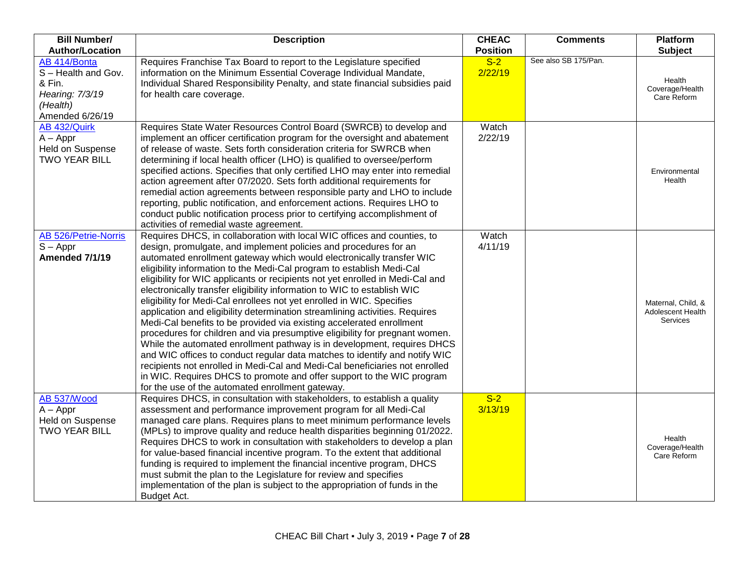| <b>Bill Number/</b><br><b>Author/Location</b>                                                 | <b>Description</b>                                                                                                                                                                                                                                                                                                                                                                                                                                                                                                                                                                                                                                                                                                                                                                                                                                                                                                                                                                                                                                                                                                                           | <b>CHEAC</b><br><b>Position</b> | <b>Comments</b>      | <b>Platform</b><br><b>Subject</b>                   |
|-----------------------------------------------------------------------------------------------|----------------------------------------------------------------------------------------------------------------------------------------------------------------------------------------------------------------------------------------------------------------------------------------------------------------------------------------------------------------------------------------------------------------------------------------------------------------------------------------------------------------------------------------------------------------------------------------------------------------------------------------------------------------------------------------------------------------------------------------------------------------------------------------------------------------------------------------------------------------------------------------------------------------------------------------------------------------------------------------------------------------------------------------------------------------------------------------------------------------------------------------------|---------------------------------|----------------------|-----------------------------------------------------|
| AB 414/Bonta<br>S-Health and Gov.<br>& Fin.<br>Hearing: 7/3/19<br>(Health)<br>Amended 6/26/19 | Requires Franchise Tax Board to report to the Legislature specified<br>information on the Minimum Essential Coverage Individual Mandate,<br>Individual Shared Responsibility Penalty, and state financial subsidies paid<br>for health care coverage.                                                                                                                                                                                                                                                                                                                                                                                                                                                                                                                                                                                                                                                                                                                                                                                                                                                                                        | $S-2$<br>2/22/19                | See also SB 175/Pan. | Health<br>Coverage/Health<br>Care Reform            |
| AB 432/Quirk<br>$A - Appr$<br><b>Held on Suspense</b><br><b>TWO YEAR BILL</b>                 | Requires State Water Resources Control Board (SWRCB) to develop and<br>implement an officer certification program for the oversight and abatement<br>of release of waste. Sets forth consideration criteria for SWRCB when<br>determining if local health officer (LHO) is qualified to oversee/perform<br>specified actions. Specifies that only certified LHO may enter into remedial<br>action agreement after 07/2020. Sets forth additional requirements for<br>remedial action agreements between responsible party and LHO to include<br>reporting, public notification, and enforcement actions. Requires LHO to<br>conduct public notification process prior to certifying accomplishment of<br>activities of remedial waste agreement.                                                                                                                                                                                                                                                                                                                                                                                             | Watch<br>2/22/19                |                      | Environmental<br>Health                             |
| <b>AB 526/Petrie-Norris</b><br>$S - Appr$<br>Amended 7/1/19                                   | Requires DHCS, in collaboration with local WIC offices and counties, to<br>design, promulgate, and implement policies and procedures for an<br>automated enrollment gateway which would electronically transfer WIC<br>eligibility information to the Medi-Cal program to establish Medi-Cal<br>eligibility for WIC applicants or recipients not yet enrolled in Medi-Cal and<br>electronically transfer eligibility information to WIC to establish WIC<br>eligibility for Medi-Cal enrollees not yet enrolled in WIC. Specifies<br>application and eligibility determination streamlining activities. Requires<br>Medi-Cal benefits to be provided via existing accelerated enrollment<br>procedures for children and via presumptive eligibility for pregnant women.<br>While the automated enrollment pathway is in development, requires DHCS<br>and WIC offices to conduct regular data matches to identify and notify WIC<br>recipients not enrolled in Medi-Cal and Medi-Cal beneficiaries not enrolled<br>in WIC. Requires DHCS to promote and offer support to the WIC program<br>for the use of the automated enrollment gateway. | Watch<br>4/11/19                |                      | Maternal, Child, &<br>Adolescent Health<br>Services |
| AB 537/Wood<br>$A - Appr$<br>Held on Suspense<br><b>TWO YEAR BILL</b>                         | Requires DHCS, in consultation with stakeholders, to establish a quality<br>assessment and performance improvement program for all Medi-Cal<br>managed care plans. Requires plans to meet minimum performance levels<br>(MPLs) to improve quality and reduce health disparities beginning 01/2022.<br>Requires DHCS to work in consultation with stakeholders to develop a plan<br>for value-based financial incentive program. To the extent that additional<br>funding is required to implement the financial incentive program, DHCS<br>must submit the plan to the Legislature for review and specifies<br>implementation of the plan is subject to the appropriation of funds in the<br>Budget Act.                                                                                                                                                                                                                                                                                                                                                                                                                                     | $S-2$<br>3/13/19                |                      | Health<br>Coverage/Health<br>Care Reform            |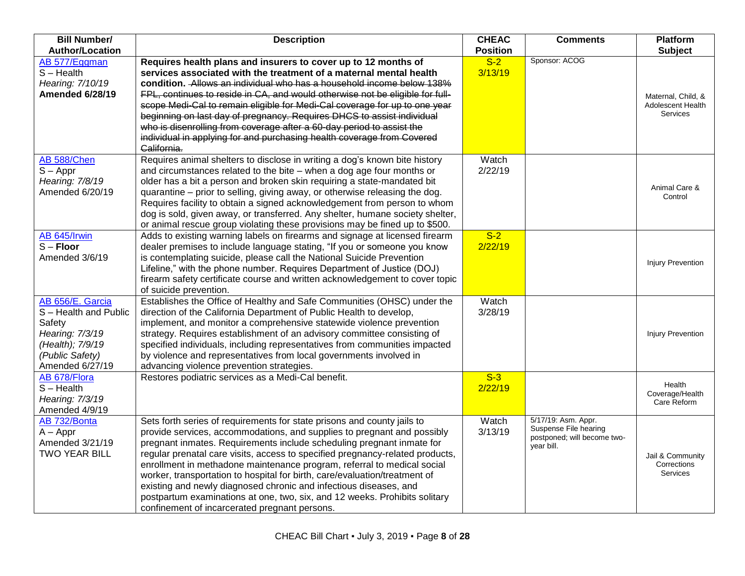| <b>Bill Number/</b>    | <b>Description</b>                                                                    | <b>CHEAC</b>    | <b>Comments</b>                              | <b>Platform</b>          |
|------------------------|---------------------------------------------------------------------------------------|-----------------|----------------------------------------------|--------------------------|
| <b>Author/Location</b> |                                                                                       | <b>Position</b> |                                              | <b>Subject</b>           |
| AB 577/Eggman          | Requires health plans and insurers to cover up to 12 months of                        | $S-2$           | Sponsor: ACOG                                |                          |
| $S - Health$           | services associated with the treatment of a maternal mental health                    | 3/13/19         |                                              |                          |
| Hearing: 7/10/19       | condition. Allows an individual who has a household income below 138%                 |                 |                                              |                          |
| <b>Amended 6/28/19</b> | FPL, continues to reside in CA, and would otherwise not be eligible for full-         |                 |                                              | Maternal, Child, &       |
|                        | scope Medi-Cal to remain eligible for Medi-Cal coverage for up to one year            |                 |                                              | Adolescent Health        |
|                        | beginning on last day of pregnancy. Requires DHCS to assist individual                |                 |                                              | <b>Services</b>          |
|                        | who is disenrolling from coverage after a 60-day period to assist the                 |                 |                                              |                          |
|                        | individual in applying for and purchasing health coverage from Covered<br>California. |                 |                                              |                          |
| AB 588/Chen            | Requires animal shelters to disclose in writing a dog's known bite history            | Watch           |                                              |                          |
| $S - Appr$             | and circumstances related to the bite - when a dog age four months or                 | 2/22/19         |                                              |                          |
| Hearing: 7/8/19        | older has a bit a person and broken skin requiring a state-mandated bit               |                 |                                              | Animal Care &            |
| Amended 6/20/19        | quarantine – prior to selling, giving away, or otherwise releasing the dog.           |                 |                                              | Control                  |
|                        | Requires facility to obtain a signed acknowledgement from person to whom              |                 |                                              |                          |
|                        | dog is sold, given away, or transferred. Any shelter, humane society shelter,         |                 |                                              |                          |
|                        | or animal rescue group violating these provisions may be fined up to \$500.           |                 |                                              |                          |
| AB 645/Irwin           | Adds to existing warning labels on firearms and signage at licensed firearm           | $S-2$           |                                              |                          |
| $S -$ Floor            | dealer premises to include language stating, "If you or someone you know              | 2/22/19         |                                              |                          |
| Amended 3/6/19         | is contemplating suicide, please call the National Suicide Prevention                 |                 |                                              | <b>Injury Prevention</b> |
|                        | Lifeline," with the phone number. Requires Department of Justice (DOJ)                |                 |                                              |                          |
|                        | firearm safety certificate course and written acknowledgement to cover topic          |                 |                                              |                          |
|                        | of suicide prevention.                                                                |                 |                                              |                          |
| AB 656/E. Garcia       | Establishes the Office of Healthy and Safe Communities (OHSC) under the               | Watch           |                                              |                          |
| S-Health and Public    | direction of the California Department of Public Health to develop,                   | 3/28/19         |                                              |                          |
| Safety                 | implement, and monitor a comprehensive statewide violence prevention                  |                 |                                              |                          |
| Hearing: 7/3/19        | strategy. Requires establishment of an advisory committee consisting of               |                 |                                              | <b>Injury Prevention</b> |
| (Health); 7/9/19       | specified individuals, including representatives from communities impacted            |                 |                                              |                          |
| (Public Safety)        | by violence and representatives from local governments involved in                    |                 |                                              |                          |
| Amended 6/27/19        | advancing violence prevention strategies.                                             |                 |                                              |                          |
| AB 678/Flora           | Restores podiatric services as a Medi-Cal benefit.                                    | $S-3$           |                                              | Health                   |
| $S - Health$           |                                                                                       | 2/22/19         |                                              | Coverage/Health          |
| Hearing: 7/3/19        |                                                                                       |                 |                                              | Care Reform              |
| Amended 4/9/19         |                                                                                       |                 |                                              |                          |
| AB 732/Bonta           | Sets forth series of requirements for state prisons and county jails to               | Watch           | 5/17/19: Asm. Appr.<br>Suspense File hearing |                          |
| $A - Appr$             | provide services, accommodations, and supplies to pregnant and possibly               | 3/13/19         | postponed; will become two-                  |                          |
| Amended 3/21/19        | pregnant inmates. Requirements include scheduling pregnant inmate for                 |                 | vear bill.                                   |                          |
| <b>TWO YEAR BILL</b>   | regular prenatal care visits, access to specified pregnancy-related products,         |                 |                                              | Jail & Community         |
|                        | enrollment in methadone maintenance program, referral to medical social               |                 |                                              | Corrections<br>Services  |
|                        | worker, transportation to hospital for birth, care/evaluation/treatment of            |                 |                                              |                          |
|                        | existing and newly diagnosed chronic and infectious diseases, and                     |                 |                                              |                          |
|                        | postpartum examinations at one, two, six, and 12 weeks. Prohibits solitary            |                 |                                              |                          |
|                        | confinement of incarcerated pregnant persons.                                         |                 |                                              |                          |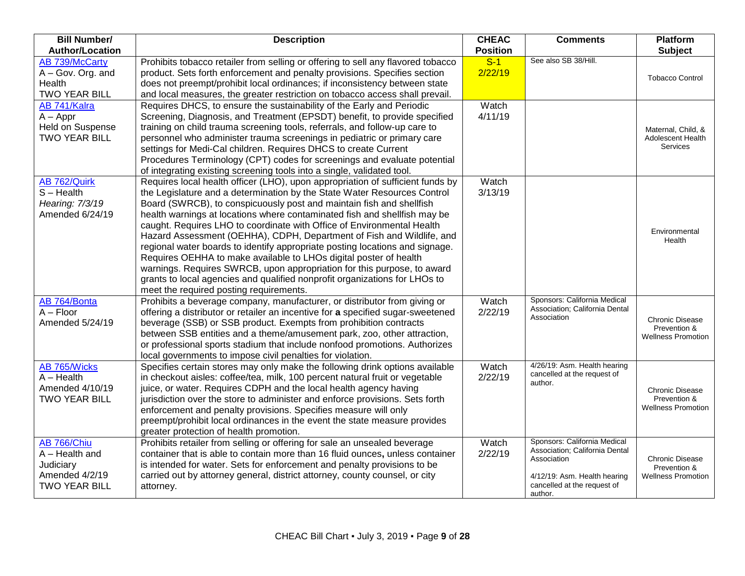| <b>Bill Number/</b><br><b>Author/Location</b>                                          | <b>Description</b>                                                                                                                                                                                                                                                                                                                                                                                                                                                                                                                                                                                                                                                                                                                                                                                                          | <b>CHEAC</b><br><b>Position</b> | <b>Comments</b>                                                                                                                                         | Platform<br><b>Subject</b>                                          |
|----------------------------------------------------------------------------------------|-----------------------------------------------------------------------------------------------------------------------------------------------------------------------------------------------------------------------------------------------------------------------------------------------------------------------------------------------------------------------------------------------------------------------------------------------------------------------------------------------------------------------------------------------------------------------------------------------------------------------------------------------------------------------------------------------------------------------------------------------------------------------------------------------------------------------------|---------------------------------|---------------------------------------------------------------------------------------------------------------------------------------------------------|---------------------------------------------------------------------|
| <b>AB 739/McCarty</b><br>A - Gov. Org. and<br>Health<br><b>TWO YEAR BILL</b>           | Prohibits tobacco retailer from selling or offering to sell any flavored tobacco<br>product. Sets forth enforcement and penalty provisions. Specifies section<br>does not preempt/prohibit local ordinances; if inconsistency between state<br>and local measures, the greater restriction on tobacco access shall prevail.                                                                                                                                                                                                                                                                                                                                                                                                                                                                                                 | $S-1$<br>2/22/19                | See also SB 38/Hill.                                                                                                                                    | <b>Tobacco Control</b>                                              |
| AB 741/Kalra<br>$A - Appr$<br>Held on Suspense<br><b>TWO YEAR BILL</b>                 | Requires DHCS, to ensure the sustainability of the Early and Periodic<br>Screening, Diagnosis, and Treatment (EPSDT) benefit, to provide specified<br>training on child trauma screening tools, referrals, and follow-up care to<br>personnel who administer trauma screenings in pediatric or primary care<br>settings for Medi-Cal children. Requires DHCS to create Current<br>Procedures Terminology (CPT) codes for screenings and evaluate potential<br>of integrating existing screening tools into a single, validated tool.                                                                                                                                                                                                                                                                                        | Watch<br>4/11/19                |                                                                                                                                                         | Maternal, Child, &<br>Adolescent Health<br>Services                 |
| AB 762/Quirk<br>$S - Health$<br>Hearing: 7/3/19<br>Amended 6/24/19                     | Requires local health officer (LHO), upon appropriation of sufficient funds by<br>the Legislature and a determination by the State Water Resources Control<br>Board (SWRCB), to conspicuously post and maintain fish and shellfish<br>health warnings at locations where contaminated fish and shellfish may be<br>caught. Requires LHO to coordinate with Office of Environmental Health<br>Hazard Assessment (OEHHA), CDPH, Department of Fish and Wildlife, and<br>regional water boards to identify appropriate posting locations and signage.<br>Requires OEHHA to make available to LHOs digital poster of health<br>warnings. Requires SWRCB, upon appropriation for this purpose, to award<br>grants to local agencies and qualified nonprofit organizations for LHOs to<br>meet the required posting requirements. | Watch<br>3/13/19                |                                                                                                                                                         | Environmental<br>Health                                             |
| AB 764/Bonta<br>$A - Floor$<br>Amended 5/24/19                                         | Prohibits a beverage company, manufacturer, or distributor from giving or<br>offering a distributor or retailer an incentive for a specified sugar-sweetened<br>beverage (SSB) or SSB product. Exempts from prohibition contracts<br>between SSB entities and a theme/amusement park, zoo, other attraction,<br>or professional sports stadium that include nonfood promotions. Authorizes<br>local governments to impose civil penalties for violation.                                                                                                                                                                                                                                                                                                                                                                    | Watch<br>2/22/19                | Sponsors: California Medical<br>Association; California Dental<br>Association                                                                           | <b>Chronic Disease</b><br>Prevention &<br><b>Wellness Promotion</b> |
| AB 765/Wicks<br>$A - Health$<br>Amended 4/10/19<br><b>TWO YEAR BILL</b>                | Specifies certain stores may only make the following drink options available<br>in checkout aisles: coffee/tea, milk, 100 percent natural fruit or vegetable<br>juice, or water. Requires CDPH and the local health agency having<br>jurisdiction over the store to administer and enforce provisions. Sets forth<br>enforcement and penalty provisions. Specifies measure will only<br>preempt/prohibit local ordinances in the event the state measure provides<br>greater protection of health promotion.                                                                                                                                                                                                                                                                                                                | Watch<br>2/22/19                | 4/26/19: Asm. Health hearing<br>cancelled at the request of<br>author.                                                                                  | <b>Chronic Disease</b><br>Prevention &<br><b>Wellness Promotion</b> |
| AB 766/Chiu<br>$A - Health$ and<br>Judiciary<br>Amended 4/2/19<br><b>TWO YEAR BILL</b> | Prohibits retailer from selling or offering for sale an unsealed beverage<br>container that is able to contain more than 16 fluid ounces, unless container<br>is intended for water. Sets for enforcement and penalty provisions to be<br>carried out by attorney general, district attorney, county counsel, or city<br>attorney.                                                                                                                                                                                                                                                                                                                                                                                                                                                                                          | Watch<br>2/22/19                | Sponsors: California Medical<br>Association; California Dental<br>Association<br>4/12/19: Asm. Health hearing<br>cancelled at the request of<br>author. | <b>Chronic Disease</b><br>Prevention &<br><b>Wellness Promotion</b> |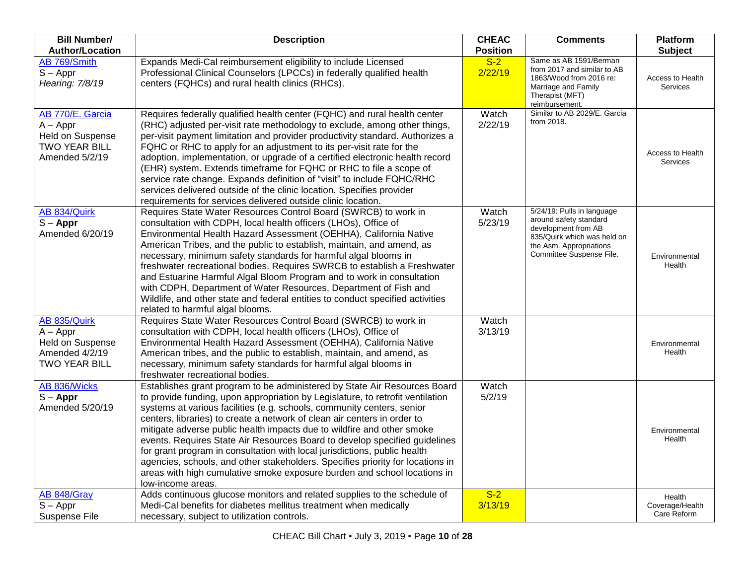| <b>Bill Number/</b><br><b>Author/Location</b>                                                       | <b>Description</b>                                                                                                                                                                                                                                                                                                                                                                                                                                                                                                                                                                                                                                                                                                                        | <b>CHEAC</b><br><b>Position</b> | <b>Comments</b>                                                                                                                                                   | <b>Platform</b><br><b>Subject</b>        |
|-----------------------------------------------------------------------------------------------------|-------------------------------------------------------------------------------------------------------------------------------------------------------------------------------------------------------------------------------------------------------------------------------------------------------------------------------------------------------------------------------------------------------------------------------------------------------------------------------------------------------------------------------------------------------------------------------------------------------------------------------------------------------------------------------------------------------------------------------------------|---------------------------------|-------------------------------------------------------------------------------------------------------------------------------------------------------------------|------------------------------------------|
| AB 769/Smith<br>$S - Appr$<br>Hearing: 7/8/19                                                       | Expands Medi-Cal reimbursement eligibility to include Licensed<br>Professional Clinical Counselors (LPCCs) in federally qualified health<br>centers (FQHCs) and rural health clinics (RHCs).                                                                                                                                                                                                                                                                                                                                                                                                                                                                                                                                              | $S-2$<br>2/22/19                | Same as AB 1591/Berman<br>from 2017 and similar to AB<br>1863/Wood from 2016 re:<br>Marriage and Family<br>Therapist (MFT)<br>reimbursement.                      | Access to Health<br>Services             |
| AB 770/E. Garcia<br>$A - Appr$<br><b>Held on Suspense</b><br><b>TWO YEAR BILL</b><br>Amended 5/2/19 | Requires federally qualified health center (FQHC) and rural health center<br>(RHC) adjusted per-visit rate methodology to exclude, among other things,<br>per-visit payment limitation and provider productivity standard. Authorizes a<br>FQHC or RHC to apply for an adjustment to its per-visit rate for the<br>adoption, implementation, or upgrade of a certified electronic health record<br>(EHR) system. Extends timeframe for FQHC or RHC to file a scope of<br>service rate change. Expands definition of "visit" to include FQHC/RHC<br>services delivered outside of the clinic location. Specifies provider<br>requirements for services delivered outside clinic location.                                                  | Watch<br>2/22/19                | Similar to AB 2029/E. Garcia<br>from 2018.                                                                                                                        | Access to Health<br>Services             |
| AB 834/Quirk<br>$S - Appr$<br>Amended 6/20/19                                                       | Requires State Water Resources Control Board (SWRCB) to work in<br>consultation with CDPH, local health officers (LHOs), Office of<br>Environmental Health Hazard Assessment (OEHHA), California Native<br>American Tribes, and the public to establish, maintain, and amend, as<br>necessary, minimum safety standards for harmful algal blooms in<br>freshwater recreational bodies. Requires SWRCB to establish a Freshwater<br>and Estuarine Harmful Algal Bloom Program and to work in consultation<br>with CDPH, Department of Water Resources, Department of Fish and<br>Wildlife, and other state and federal entities to conduct specified activities<br>related to harmful algal blooms.                                        | Watch<br>5/23/19                | 5/24/19: Pulls in language<br>around safety standard<br>development from AB<br>835/Quirk which was held on<br>the Asm. Appropriations<br>Committee Suspense File. | Environmental<br>Health                  |
| AB 835/Quirk<br>$A - Appr$<br>Held on Suspense<br>Amended 4/2/19<br><b>TWO YEAR BILL</b>            | Requires State Water Resources Control Board (SWRCB) to work in<br>consultation with CDPH, local health officers (LHOs), Office of<br>Environmental Health Hazard Assessment (OEHHA), California Native<br>American tribes, and the public to establish, maintain, and amend, as<br>necessary, minimum safety standards for harmful algal blooms in<br>freshwater recreational bodies.                                                                                                                                                                                                                                                                                                                                                    | Watch<br>3/13/19                |                                                                                                                                                                   | Environmental<br>Health                  |
| AB 836/Wicks<br>$S - Appr$<br>Amended 5/20/19                                                       | Establishes grant program to be administered by State Air Resources Board<br>to provide funding, upon appropriation by Legislature, to retrofit ventilation<br>systems at various facilities (e.g. schools, community centers, senior<br>centers, libraries) to create a network of clean air centers in order to<br>mitigate adverse public health impacts due to wildfire and other smoke<br>events. Requires State Air Resources Board to develop specified guidelines<br>for grant program in consultation with local jurisdictions, public health<br>agencies, schools, and other stakeholders. Specifies priority for locations in<br>areas with high cumulative smoke exposure burden and school locations in<br>low-income areas. | Watch<br>5/2/19                 |                                                                                                                                                                   | Environmental<br>Health                  |
| AB 848/Gray<br>$S - Appr$<br>Suspense File                                                          | Adds continuous glucose monitors and related supplies to the schedule of<br>Medi-Cal benefits for diabetes mellitus treatment when medically<br>necessary, subject to utilization controls.                                                                                                                                                                                                                                                                                                                                                                                                                                                                                                                                               | $S-2$<br>3/13/19                |                                                                                                                                                                   | Health<br>Coverage/Health<br>Care Reform |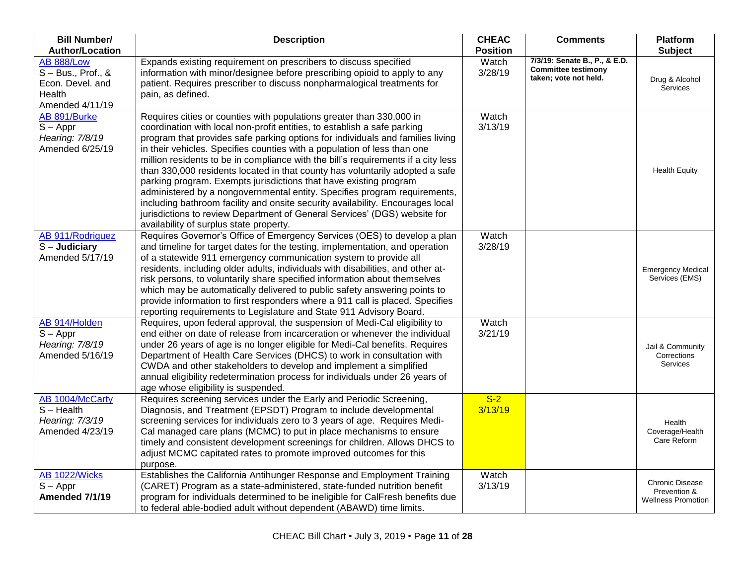| <b>Bill Number/</b>                                                                        | <b>Description</b>                                                                                                                                                                                                                                                                                                                                                                                                                                                                                                                                                                                                                                                                                                                                                                                                                              | <b>CHEAC</b>     | <b>Comments</b>                                                                      | <b>Platform</b>                                                     |
|--------------------------------------------------------------------------------------------|-------------------------------------------------------------------------------------------------------------------------------------------------------------------------------------------------------------------------------------------------------------------------------------------------------------------------------------------------------------------------------------------------------------------------------------------------------------------------------------------------------------------------------------------------------------------------------------------------------------------------------------------------------------------------------------------------------------------------------------------------------------------------------------------------------------------------------------------------|------------------|--------------------------------------------------------------------------------------|---------------------------------------------------------------------|
| <b>Author/Location</b>                                                                     |                                                                                                                                                                                                                                                                                                                                                                                                                                                                                                                                                                                                                                                                                                                                                                                                                                                 | <b>Position</b>  |                                                                                      | <b>Subject</b>                                                      |
| <b>AB 888/Low</b><br>$S - Bus., Prof., &$<br>Econ. Devel. and<br>Health<br>Amended 4/11/19 | Expands existing requirement on prescribers to discuss specified<br>information with minor/designee before prescribing opioid to apply to any<br>patient. Requires prescriber to discuss nonpharmalogical treatments for<br>pain, as defined.                                                                                                                                                                                                                                                                                                                                                                                                                                                                                                                                                                                                   | Watch<br>3/28/19 | 7/3/19: Senate B., P., & E.D.<br><b>Committee testimony</b><br>taken; vote not held. | Drug & Alcohol<br>Services                                          |
| AB 891/Burke<br>$S - Appr$<br>Hearing: 7/8/19<br>Amended 6/25/19                           | Requires cities or counties with populations greater than 330,000 in<br>coordination with local non-profit entities, to establish a safe parking<br>program that provides safe parking options for individuals and families living<br>in their vehicles. Specifies counties with a population of less than one<br>million residents to be in compliance with the bill's requirements if a city less<br>than 330,000 residents located in that county has voluntarily adopted a safe<br>parking program. Exempts jurisdictions that have existing program<br>administered by a nongovernmental entity. Specifies program requirements,<br>including bathroom facility and onsite security availability. Encourages local<br>jurisdictions to review Department of General Services' (DGS) website for<br>availability of surplus state property. | Watch<br>3/13/19 |                                                                                      | <b>Health Equity</b>                                                |
| AB 911/Rodriguez<br>$S -$ Judiciary<br>Amended 5/17/19                                     | Requires Governor's Office of Emergency Services (OES) to develop a plan<br>and timeline for target dates for the testing, implementation, and operation<br>of a statewide 911 emergency communication system to provide all<br>residents, including older adults, individuals with disabilities, and other at-<br>risk persons, to voluntarily share specified information about themselves<br>which may be automatically delivered to public safety answering points to<br>provide information to first responders where a 911 call is placed. Specifies<br>reporting requirements to Legislature and State 911 Advisory Board.                                                                                                                                                                                                               | Watch<br>3/28/19 |                                                                                      | <b>Emergency Medical</b><br>Services (EMS)                          |
| AB 914/Holden<br>$S - Appr$<br>Hearing: 7/8/19<br>Amended 5/16/19                          | Requires, upon federal approval, the suspension of Medi-Cal eligibility to<br>end either on date of release from incarceration or whenever the individual<br>under 26 years of age is no longer eligible for Medi-Cal benefits. Requires<br>Department of Health Care Services (DHCS) to work in consultation with<br>CWDA and other stakeholders to develop and implement a simplified<br>annual eligibility redetermination process for individuals under 26 years of<br>age whose eligibility is suspended.                                                                                                                                                                                                                                                                                                                                  | Watch<br>3/21/19 |                                                                                      | Jail & Community<br>Corrections<br><b>Services</b>                  |
| AB 1004/McCarty<br>$S - Health$<br>Hearing: 7/3/19<br>Amended 4/23/19                      | Requires screening services under the Early and Periodic Screening,<br>Diagnosis, and Treatment (EPSDT) Program to include developmental<br>screening services for individuals zero to 3 years of age. Requires Medi-<br>Cal managed care plans (MCMC) to put in place mechanisms to ensure<br>timely and consistent development screenings for children. Allows DHCS to<br>adjust MCMC capitated rates to promote improved outcomes for this<br>purpose.                                                                                                                                                                                                                                                                                                                                                                                       | $S-2$<br>3/13/19 |                                                                                      | Health<br>Coverage/Health<br>Care Reform                            |
| AB 1022/Wicks<br>$S - Appr$<br>Amended 7/1/19                                              | Establishes the California Antihunger Response and Employment Training<br>(CARET) Program as a state-administered, state-funded nutrition benefit<br>program for individuals determined to be ineligible for CalFresh benefits due<br>to federal able-bodied adult without dependent (ABAWD) time limits.                                                                                                                                                                                                                                                                                                                                                                                                                                                                                                                                       | Watch<br>3/13/19 |                                                                                      | <b>Chronic Disease</b><br>Prevention &<br><b>Wellness Promotion</b> |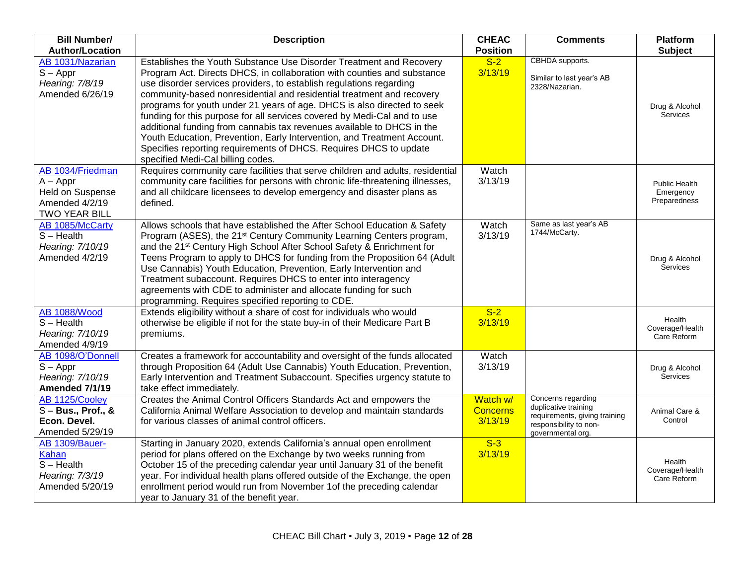| <b>Bill Number/</b>                                                                          | <b>Description</b>                                                                                                                                                                                                                                                                                                                                                                                                                                                                                                                                                                                                                                                                                                   | <b>CHEAC</b>                           | <b>Comments</b>                                                                                                            | <b>Platform</b>                            |
|----------------------------------------------------------------------------------------------|----------------------------------------------------------------------------------------------------------------------------------------------------------------------------------------------------------------------------------------------------------------------------------------------------------------------------------------------------------------------------------------------------------------------------------------------------------------------------------------------------------------------------------------------------------------------------------------------------------------------------------------------------------------------------------------------------------------------|----------------------------------------|----------------------------------------------------------------------------------------------------------------------------|--------------------------------------------|
| <b>Author/Location</b>                                                                       |                                                                                                                                                                                                                                                                                                                                                                                                                                                                                                                                                                                                                                                                                                                      | <b>Position</b>                        |                                                                                                                            | <b>Subject</b>                             |
| AB 1031/Nazarian<br>$S - Appr$<br>Hearing: 7/8/19<br>Amended 6/26/19                         | Establishes the Youth Substance Use Disorder Treatment and Recovery<br>Program Act. Directs DHCS, in collaboration with counties and substance<br>use disorder services providers, to establish regulations regarding<br>community-based nonresidential and residential treatment and recovery<br>programs for youth under 21 years of age. DHCS is also directed to seek<br>funding for this purpose for all services covered by Medi-Cal and to use<br>additional funding from cannabis tax revenues available to DHCS in the<br>Youth Education, Prevention, Early Intervention, and Treatment Account.<br>Specifies reporting requirements of DHCS. Requires DHCS to update<br>specified Medi-Cal billing codes. | $S-2$<br>3/13/19                       | CBHDA supports.<br>Similar to last year's AB<br>2328/Nazarian.                                                             | Drug & Alcohol<br>Services                 |
| AB 1034/Friedman<br>$A - Appr$<br>Held on Suspense<br>Amended 4/2/19<br><b>TWO YEAR BILL</b> | Requires community care facilities that serve children and adults, residential<br>community care facilities for persons with chronic life-threatening illnesses,<br>and all childcare licensees to develop emergency and disaster plans as<br>defined.                                                                                                                                                                                                                                                                                                                                                                                                                                                               | Watch<br>3/13/19                       |                                                                                                                            | Public Health<br>Emergency<br>Preparedness |
| AB 1085/McCarty<br>$S - Health$<br>Hearing: 7/10/19<br>Amended 4/2/19                        | Allows schools that have established the After School Education & Safety<br>Program (ASES), the 21 <sup>st</sup> Century Community Learning Centers program,<br>and the 21 <sup>st</sup> Century High School After School Safety & Enrichment for<br>Teens Program to apply to DHCS for funding from the Proposition 64 (Adult<br>Use Cannabis) Youth Education, Prevention, Early Intervention and<br>Treatment subaccount. Requires DHCS to enter into interagency<br>agreements with CDE to administer and allocate funding for such<br>programming. Requires specified reporting to CDE.                                                                                                                         | Watch<br>3/13/19                       | Same as last year's AB<br>1744/McCarty.                                                                                    | Drug & Alcohol<br>Services                 |
| <b>AB 1088/Wood</b><br>$S - Health$<br>Hearing: 7/10/19<br>Amended 4/9/19                    | Extends eligibility without a share of cost for individuals who would<br>otherwise be eligible if not for the state buy-in of their Medicare Part B<br>premiums.                                                                                                                                                                                                                                                                                                                                                                                                                                                                                                                                                     | $S-2$<br>3/13/19                       |                                                                                                                            | Health<br>Coverage/Health<br>Care Reform   |
| AB 1098/O'Donnell<br>$S - Appr$<br>Hearing: 7/10/19<br>Amended 7/1/19                        | Creates a framework for accountability and oversight of the funds allocated<br>through Proposition 64 (Adult Use Cannabis) Youth Education, Prevention,<br>Early Intervention and Treatment Subaccount. Specifies urgency statute to<br>take effect immediately.                                                                                                                                                                                                                                                                                                                                                                                                                                                     | Watch<br>3/13/19                       |                                                                                                                            | Drug & Alcohol<br>Services                 |
| AB 1125/Cooley<br>$S - Bus., Prof., &$<br>Econ. Devel.<br>Amended 5/29/19                    | Creates the Animal Control Officers Standards Act and empowers the<br>California Animal Welfare Association to develop and maintain standards<br>for various classes of animal control officers.                                                                                                                                                                                                                                                                                                                                                                                                                                                                                                                     | Watch w/<br><b>Concerns</b><br>3/13/19 | Concerns regarding<br>duplicative training<br>requirements, giving training<br>responsibility to non-<br>governmental org. | Animal Care &<br>Control                   |
| AB 1309/Bauer-<br><b>Kahan</b><br>$S - Health$<br>Hearing: 7/3/19<br>Amended 5/20/19         | Starting in January 2020, extends California's annual open enrollment<br>period for plans offered on the Exchange by two weeks running from<br>October 15 of the preceding calendar year until January 31 of the benefit<br>year. For individual health plans offered outside of the Exchange, the open<br>enrollment period would run from November 1of the preceding calendar<br>year to January 31 of the benefit year.                                                                                                                                                                                                                                                                                           | $S-3$<br>3/13/19                       |                                                                                                                            | Health<br>Coverage/Health<br>Care Reform   |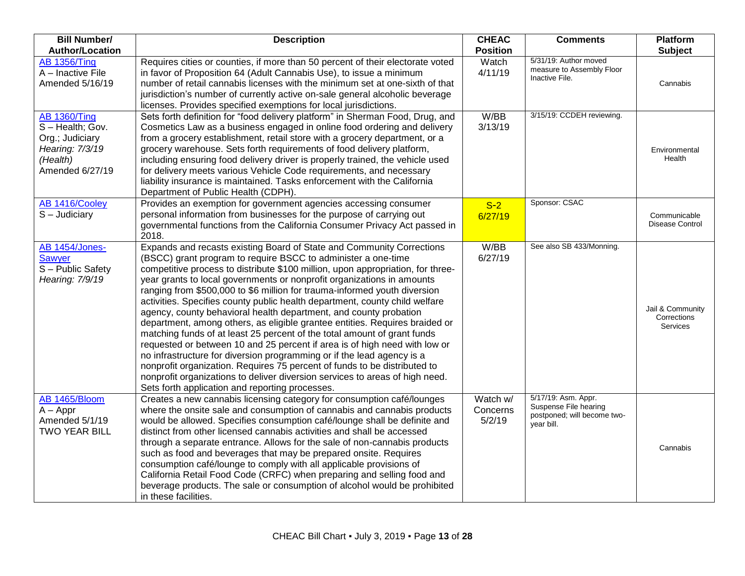| <b>Bill Number/</b><br><b>Author/Location</b>                                                              | <b>Description</b>                                                                                                                                                                                                                                                                                                                                                                                                                                                                                                                                                                                                                                                                                                                                                                                                                                                                                                                                                                                                                                                      | <b>CHEAC</b><br><b>Position</b> | <b>Comments</b>                                                                           | Platform<br><b>Subject</b>                         |
|------------------------------------------------------------------------------------------------------------|-------------------------------------------------------------------------------------------------------------------------------------------------------------------------------------------------------------------------------------------------------------------------------------------------------------------------------------------------------------------------------------------------------------------------------------------------------------------------------------------------------------------------------------------------------------------------------------------------------------------------------------------------------------------------------------------------------------------------------------------------------------------------------------------------------------------------------------------------------------------------------------------------------------------------------------------------------------------------------------------------------------------------------------------------------------------------|---------------------------------|-------------------------------------------------------------------------------------------|----------------------------------------------------|
| <b>AB 1356/Ting</b><br>A - Inactive File<br>Amended 5/16/19                                                | Requires cities or counties, if more than 50 percent of their electorate voted<br>in favor of Proposition 64 (Adult Cannabis Use), to issue a minimum<br>number of retail cannabis licenses with the minimum set at one-sixth of that<br>jurisdiction's number of currently active on-sale general alcoholic beverage<br>licenses. Provides specified exemptions for local jurisdictions.                                                                                                                                                                                                                                                                                                                                                                                                                                                                                                                                                                                                                                                                               | Watch<br>4/11/19                | 5/31/19: Author moved<br>measure to Assembly Floor<br>Inactive File.                      | Cannabis                                           |
| <b>AB 1360/Ting</b><br>S-Health; Gov.<br>Org.; Judiciary<br>Hearing: 7/3/19<br>(Health)<br>Amended 6/27/19 | Sets forth definition for "food delivery platform" in Sherman Food, Drug, and<br>Cosmetics Law as a business engaged in online food ordering and delivery<br>from a grocery establishment, retail store with a grocery department, or a<br>grocery warehouse. Sets forth requirements of food delivery platform,<br>including ensuring food delivery driver is properly trained, the vehicle used<br>for delivery meets various Vehicle Code requirements, and necessary<br>liability insurance is maintained. Tasks enforcement with the California<br>Department of Public Health (CDPH).                                                                                                                                                                                                                                                                                                                                                                                                                                                                             | W/BB<br>3/13/19                 | 3/15/19: CCDEH reviewing.                                                                 | Environmental<br>Health                            |
| AB 1416/Cooley<br>$S -$ Judiciary                                                                          | Provides an exemption for government agencies accessing consumer<br>personal information from businesses for the purpose of carrying out<br>governmental functions from the California Consumer Privacy Act passed in<br>2018.                                                                                                                                                                                                                                                                                                                                                                                                                                                                                                                                                                                                                                                                                                                                                                                                                                          | $S-2$<br>6/27/19                | Sponsor: CSAC                                                                             | Communicable<br>Disease Control                    |
| AB 1454/Jones-<br><b>Sawyer</b><br>S - Public Safety<br>Hearing: 7/9/19                                    | Expands and recasts existing Board of State and Community Corrections<br>(BSCC) grant program to require BSCC to administer a one-time<br>competitive process to distribute \$100 million, upon appropriation, for three-<br>year grants to local governments or nonprofit organizations in amounts<br>ranging from \$500,000 to \$6 million for trauma-informed youth diversion<br>activities. Specifies county public health department, county child welfare<br>agency, county behavioral health department, and county probation<br>department, among others, as eligible grantee entities. Requires braided or<br>matching funds of at least 25 percent of the total amount of grant funds<br>requested or between 10 and 25 percent if area is of high need with low or<br>no infrastructure for diversion programming or if the lead agency is a<br>nonprofit organization. Requires 75 percent of funds to be distributed to<br>nonprofit organizations to deliver diversion services to areas of high need.<br>Sets forth application and reporting processes. | W/BB<br>6/27/19                 | See also SB 433/Monning.                                                                  | Jail & Community<br>Corrections<br><b>Services</b> |
| AB 1465/Bloom<br>$A - Appr$<br>Amended 5/1/19<br><b>TWO YEAR BILL</b>                                      | Creates a new cannabis licensing category for consumption café/lounges<br>where the onsite sale and consumption of cannabis and cannabis products<br>would be allowed. Specifies consumption café/lounge shall be definite and<br>distinct from other licensed cannabis activities and shall be accessed<br>through a separate entrance. Allows for the sale of non-cannabis products<br>such as food and beverages that may be prepared onsite. Requires<br>consumption café/lounge to comply with all applicable provisions of<br>California Retail Food Code (CRFC) when preparing and selling food and<br>beverage products. The sale or consumption of alcohol would be prohibited<br>in these facilities.                                                                                                                                                                                                                                                                                                                                                         | Watch w/<br>Concerns<br>5/2/19  | 5/17/19: Asm. Appr.<br>Suspense File hearing<br>postponed; will become two-<br>year bill. | Cannabis                                           |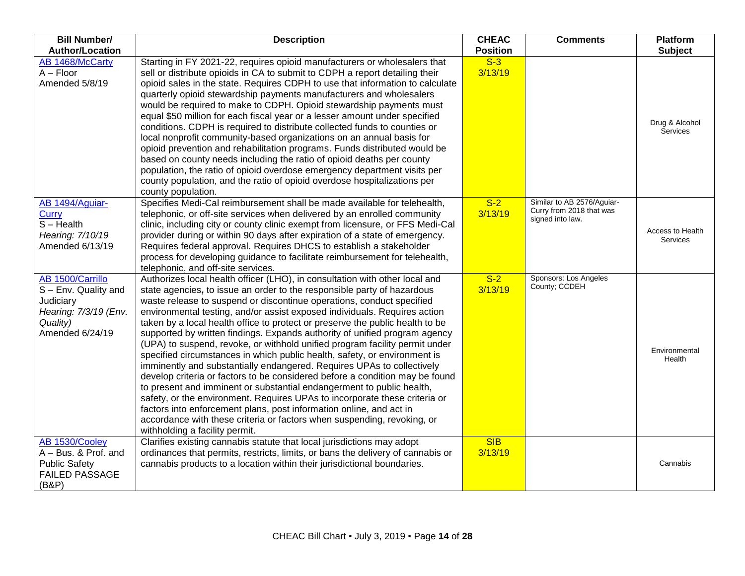| <b>Bill Number/</b><br><b>Author/Location</b>                                                                 | <b>Description</b>                                                                                                                                                                                                                                                                                                                                                                                                                                                                                                                                                                                                                                                                                                                                                                                                                                                                                                                                                                                                                                                                                                                           | <b>CHEAC</b><br><b>Position</b> | <b>Comments</b>                                                            | <b>Platform</b><br><b>Subject</b> |
|---------------------------------------------------------------------------------------------------------------|----------------------------------------------------------------------------------------------------------------------------------------------------------------------------------------------------------------------------------------------------------------------------------------------------------------------------------------------------------------------------------------------------------------------------------------------------------------------------------------------------------------------------------------------------------------------------------------------------------------------------------------------------------------------------------------------------------------------------------------------------------------------------------------------------------------------------------------------------------------------------------------------------------------------------------------------------------------------------------------------------------------------------------------------------------------------------------------------------------------------------------------------|---------------------------------|----------------------------------------------------------------------------|-----------------------------------|
| AB 1468/McCarty<br>$A - Floor$<br>Amended 5/8/19                                                              | Starting in FY 2021-22, requires opioid manufacturers or wholesalers that<br>sell or distribute opioids in CA to submit to CDPH a report detailing their<br>opioid sales in the state. Requires CDPH to use that information to calculate<br>quarterly opioid stewardship payments manufacturers and wholesalers<br>would be required to make to CDPH. Opioid stewardship payments must<br>equal \$50 million for each fiscal year or a lesser amount under specified<br>conditions. CDPH is required to distribute collected funds to counties or<br>local nonprofit community-based organizations on an annual basis for<br>opioid prevention and rehabilitation programs. Funds distributed would be<br>based on county needs including the ratio of opioid deaths per county<br>population, the ratio of opioid overdose emergency department visits per<br>county population, and the ratio of opioid overdose hospitalizations per<br>county population.                                                                                                                                                                               | $S-3$<br>3/13/19                |                                                                            | Drug & Alcohol<br><b>Services</b> |
| AB 1494/Aguiar-<br>Curry<br>$S - Health$<br>Hearing: 7/10/19<br>Amended 6/13/19                               | Specifies Medi-Cal reimbursement shall be made available for telehealth,<br>telephonic, or off-site services when delivered by an enrolled community<br>clinic, including city or county clinic exempt from licensure, or FFS Medi-Cal<br>provider during or within 90 days after expiration of a state of emergency.<br>Requires federal approval. Requires DHCS to establish a stakeholder<br>process for developing guidance to facilitate reimbursement for telehealth,<br>telephonic, and off-site services.                                                                                                                                                                                                                                                                                                                                                                                                                                                                                                                                                                                                                            | $S-2$<br>3/13/19                | Similar to AB 2576/Aquiar-<br>Curry from 2018 that was<br>signed into law. | Access to Health<br>Services      |
| AB 1500/Carrillo<br>S - Env. Quality and<br>Judiciary<br>Hearing: 7/3/19 (Env.<br>Quality)<br>Amended 6/24/19 | Authorizes local health officer (LHO), in consultation with other local and<br>state agencies, to issue an order to the responsible party of hazardous<br>waste release to suspend or discontinue operations, conduct specified<br>environmental testing, and/or assist exposed individuals. Requires action<br>taken by a local health office to protect or preserve the public health to be<br>supported by written findings. Expands authority of unified program agency<br>(UPA) to suspend, revoke, or withhold unified program facility permit under<br>specified circumstances in which public health, safety, or environment is<br>imminently and substantially endangered. Requires UPAs to collectively<br>develop criteria or factors to be considered before a condition may be found<br>to present and imminent or substantial endangerment to public health,<br>safety, or the environment. Requires UPAs to incorporate these criteria or<br>factors into enforcement plans, post information online, and act in<br>accordance with these criteria or factors when suspending, revoking, or<br>withholding a facility permit. | $S-2$<br>3/13/19                | Sponsors: Los Angeles<br>County; CCDEH                                     | Environmental<br>Health           |
| AB 1530/Cooley<br>A - Bus. & Prof. and<br><b>Public Safety</b><br><b>FAILED PASSAGE</b><br>(B&P)              | Clarifies existing cannabis statute that local jurisdictions may adopt<br>ordinances that permits, restricts, limits, or bans the delivery of cannabis or<br>cannabis products to a location within their jurisdictional boundaries.                                                                                                                                                                                                                                                                                                                                                                                                                                                                                                                                                                                                                                                                                                                                                                                                                                                                                                         | SIB<br>3/13/19                  |                                                                            | Cannabis                          |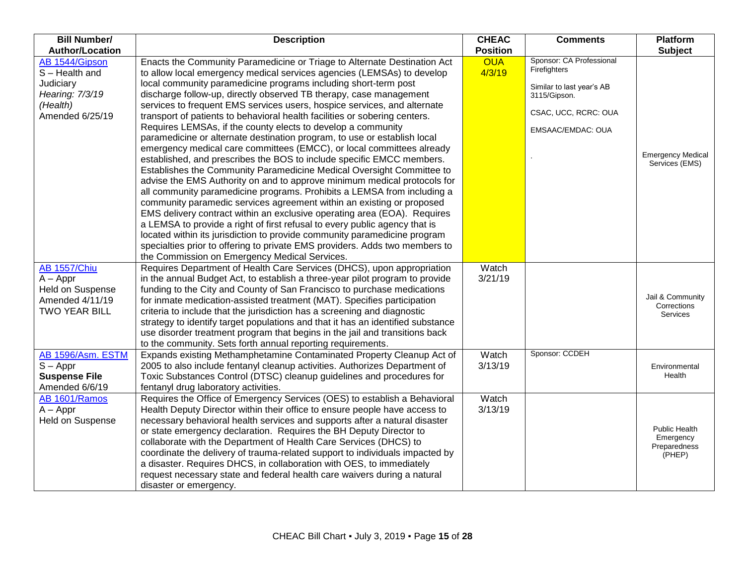| <b>Bill Number/</b>    | <b>Description</b>                                                              | <b>CHEAC</b>    | <b>Comments</b>                          | <b>Platform</b>           |
|------------------------|---------------------------------------------------------------------------------|-----------------|------------------------------------------|---------------------------|
| <b>Author/Location</b> |                                                                                 | <b>Position</b> |                                          | <b>Subject</b>            |
| AB 1544/Gipson         | Enacts the Community Paramedicine or Triage to Alternate Destination Act        | <b>OUA</b>      | Sponsor: CA Professional<br>Firefighters |                           |
| S-Health and           | to allow local emergency medical services agencies (LEMSAs) to develop          | 4/3/19          |                                          |                           |
| Judiciary              | local community paramedicine programs including short-term post                 |                 | Similar to last year's AB                |                           |
| Hearing: 7/3/19        | discharge follow-up, directly observed TB therapy, case management              |                 | 3115/Gipson.                             |                           |
| (Health)               | services to frequent EMS services users, hospice services, and alternate        |                 | CSAC, UCC, RCRC: OUA                     |                           |
| Amended 6/25/19        | transport of patients to behavioral health facilities or sobering centers.      |                 |                                          |                           |
|                        | Requires LEMSAs, if the county elects to develop a community                    |                 | EMSAAC/EMDAC: OUA                        |                           |
|                        | paramedicine or alternate destination program, to use or establish local        |                 |                                          |                           |
|                        | emergency medical care committees (EMCC), or local committees already           |                 |                                          | <b>Emergency Medical</b>  |
|                        | established, and prescribes the BOS to include specific EMCC members.           |                 |                                          | Services (EMS)            |
|                        | Establishes the Community Paramedicine Medical Oversight Committee to           |                 |                                          |                           |
|                        | advise the EMS Authority on and to approve minimum medical protocols for        |                 |                                          |                           |
|                        | all community paramedicine programs. Prohibits a LEMSA from including a         |                 |                                          |                           |
|                        | community paramedic services agreement within an existing or proposed           |                 |                                          |                           |
|                        | EMS delivery contract within an exclusive operating area (EOA). Requires        |                 |                                          |                           |
|                        | a LEMSA to provide a right of first refusal to every public agency that is      |                 |                                          |                           |
|                        | located within its jurisdiction to provide community paramedicine program       |                 |                                          |                           |
|                        | specialties prior to offering to private EMS providers. Adds two members to     |                 |                                          |                           |
|                        | the Commission on Emergency Medical Services.                                   |                 |                                          |                           |
| <b>AB 1557/Chiu</b>    | Requires Department of Health Care Services (DHCS), upon appropriation          | Watch           |                                          |                           |
| $A - Appr$             | in the annual Budget Act, to establish a three-year pilot program to provide    | 3/21/19         |                                          |                           |
| Held on Suspense       | funding to the City and County of San Francisco to purchase medications         |                 |                                          | Jail & Community          |
| Amended 4/11/19        | for inmate medication-assisted treatment (MAT). Specifies participation         |                 |                                          | Corrections               |
| <b>TWO YEAR BILL</b>   | criteria to include that the jurisdiction has a screening and diagnostic        |                 |                                          | Services                  |
|                        | strategy to identify target populations and that it has an identified substance |                 |                                          |                           |
|                        | use disorder treatment program that begins in the jail and transitions back     |                 |                                          |                           |
|                        | to the community. Sets forth annual reporting requirements.                     |                 |                                          |                           |
| AB 1596/Asm. ESTM      | Expands existing Methamphetamine Contaminated Property Cleanup Act of           | Watch           | Sponsor: CCDEH                           |                           |
| $S - Appr$             | 2005 to also include fentanyl cleanup activities. Authorizes Department of      | 3/13/19         |                                          | Environmental             |
| <b>Suspense File</b>   | Toxic Substances Control (DTSC) cleanup guidelines and procedures for           |                 |                                          | Health                    |
| Amended 6/6/19         | fentanyl drug laboratory activities.                                            |                 |                                          |                           |
| AB 1601/Ramos          | Requires the Office of Emergency Services (OES) to establish a Behavioral       | Watch           |                                          |                           |
| $A - Appr$             | Health Deputy Director within their office to ensure people have access to      | 3/13/19         |                                          |                           |
| Held on Suspense       | necessary behavioral health services and supports after a natural disaster      |                 |                                          |                           |
|                        | or state emergency declaration. Requires the BH Deputy Director to              |                 |                                          | Public Health             |
|                        | collaborate with the Department of Health Care Services (DHCS) to               |                 |                                          | Emergency<br>Preparedness |
|                        | coordinate the delivery of trauma-related support to individuals impacted by    |                 |                                          | (PHEP)                    |
|                        | a disaster. Requires DHCS, in collaboration with OES, to immediately            |                 |                                          |                           |
|                        | request necessary state and federal health care waivers during a natural        |                 |                                          |                           |
|                        | disaster or emergency.                                                          |                 |                                          |                           |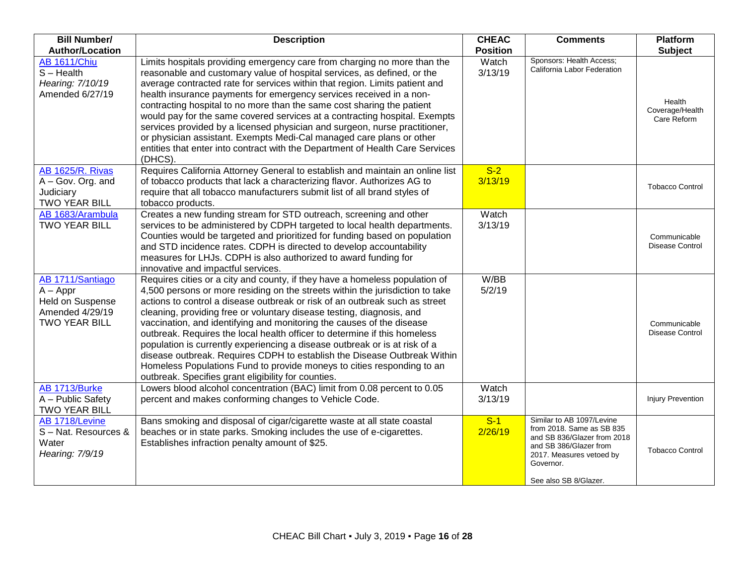| <b>Bill Number/</b>                                                                           | <b>Description</b>                                                                                                                                                                                                                                                                                                                                                                                                                                                                                                                                                                                                                                                                                                                                                    | <b>CHEAC</b>     | <b>Comments</b>                                                                                                                                                                   | <b>Platform</b>                          |
|-----------------------------------------------------------------------------------------------|-----------------------------------------------------------------------------------------------------------------------------------------------------------------------------------------------------------------------------------------------------------------------------------------------------------------------------------------------------------------------------------------------------------------------------------------------------------------------------------------------------------------------------------------------------------------------------------------------------------------------------------------------------------------------------------------------------------------------------------------------------------------------|------------------|-----------------------------------------------------------------------------------------------------------------------------------------------------------------------------------|------------------------------------------|
| <b>Author/Location</b>                                                                        |                                                                                                                                                                                                                                                                                                                                                                                                                                                                                                                                                                                                                                                                                                                                                                       | <b>Position</b>  |                                                                                                                                                                                   | <b>Subject</b>                           |
| <b>AB 1611/Chiu</b><br>$S - Health$<br>Hearing: 7/10/19<br>Amended 6/27/19                    | Limits hospitals providing emergency care from charging no more than the<br>reasonable and customary value of hospital services, as defined, or the<br>average contracted rate for services within that region. Limits patient and<br>health insurance payments for emergency services received in a non-<br>contracting hospital to no more than the same cost sharing the patient<br>would pay for the same covered services at a contracting hospital. Exempts<br>services provided by a licensed physician and surgeon, nurse practitioner,<br>or physician assistant. Exempts Medi-Cal managed care plans or other<br>entities that enter into contract with the Department of Health Care Services<br>(DHCS).                                                   | Watch<br>3/13/19 | Sponsors: Health Access;<br>California Labor Federation                                                                                                                           | Health<br>Coverage/Health<br>Care Reform |
| <b>AB 1625/R. Rivas</b><br>A - Gov. Org. and<br>Judiciary<br><b>TWO YEAR BILL</b>             | Requires California Attorney General to establish and maintain an online list<br>of tobacco products that lack a characterizing flavor. Authorizes AG to<br>require that all tobacco manufacturers submit list of all brand styles of<br>tobacco products.                                                                                                                                                                                                                                                                                                                                                                                                                                                                                                            | $S-2$<br>3/13/19 |                                                                                                                                                                                   | <b>Tobacco Control</b>                   |
| AB 1683/Arambula<br><b>TWO YEAR BILL</b>                                                      | Creates a new funding stream for STD outreach, screening and other<br>services to be administered by CDPH targeted to local health departments.<br>Counties would be targeted and prioritized for funding based on population<br>and STD incidence rates. CDPH is directed to develop accountability<br>measures for LHJs. CDPH is also authorized to award funding for<br>innovative and impactful services.                                                                                                                                                                                                                                                                                                                                                         | Watch<br>3/13/19 |                                                                                                                                                                                   | Communicable<br>Disease Control          |
| AB 1711/Santiago<br>$A - Appr$<br>Held on Suspense<br>Amended 4/29/19<br><b>TWO YEAR BILL</b> | Requires cities or a city and county, if they have a homeless population of<br>4,500 persons or more residing on the streets within the jurisdiction to take<br>actions to control a disease outbreak or risk of an outbreak such as street<br>cleaning, providing free or voluntary disease testing, diagnosis, and<br>vaccination, and identifying and monitoring the causes of the disease<br>outbreak. Requires the local health officer to determine if this homeless<br>population is currently experiencing a disease outbreak or is at risk of a<br>disease outbreak. Requires CDPH to establish the Disease Outbreak Within<br>Homeless Populations Fund to provide moneys to cities responding to an<br>outbreak. Specifies grant eligibility for counties. | W/BB<br>5/2/19   |                                                                                                                                                                                   | Communicable<br><b>Disease Control</b>   |
| AB 1713/Burke<br>A - Public Safety<br>TWO YEAR BILL                                           | Lowers blood alcohol concentration (BAC) limit from 0.08 percent to 0.05<br>percent and makes conforming changes to Vehicle Code.                                                                                                                                                                                                                                                                                                                                                                                                                                                                                                                                                                                                                                     | Watch<br>3/13/19 |                                                                                                                                                                                   | <b>Injury Prevention</b>                 |
| AB 1718/Levine<br>S-Nat. Resources &<br>Water<br>Hearing: 7/9/19                              | Bans smoking and disposal of cigar/cigarette waste at all state coastal<br>beaches or in state parks. Smoking includes the use of e-cigarettes.<br>Establishes infraction penalty amount of \$25.                                                                                                                                                                                                                                                                                                                                                                                                                                                                                                                                                                     | $S-1$<br>2/26/19 | Similar to AB 1097/Levine<br>from 2018. Same as SB 835<br>and SB 836/Glazer from 2018<br>and SB 386/Glazer from<br>2017. Measures vetoed by<br>Governor.<br>See also SB 8/Glazer. | <b>Tobacco Control</b>                   |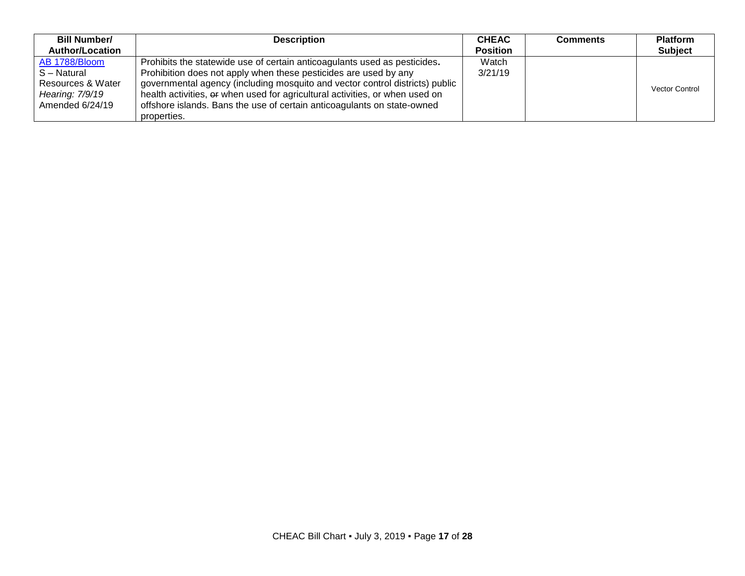| <b>Bill Number/</b>    | <b>Description</b>                                                           | <b>CHEAC</b>    | <b>Comments</b> | <b>Platform</b>       |
|------------------------|------------------------------------------------------------------------------|-----------------|-----------------|-----------------------|
| <b>Author/Location</b> |                                                                              | <b>Position</b> |                 | <b>Subject</b>        |
| AB 1788/Bloom          | Prohibits the statewide use of certain anticoagulants used as pesticides.    | Watch           |                 |                       |
| S-Natural              | Prohibition does not apply when these pesticides are used by any             | 3/21/19         |                 |                       |
| Resources & Water      | governmental agency (including mosquito and vector control districts) public |                 |                 | <b>Vector Control</b> |
| Hearing: 7/9/19        | health activities, or when used for agricultural activities, or when used on |                 |                 |                       |
| Amended 6/24/19        | offshore islands. Bans the use of certain anticoagulants on state-owned      |                 |                 |                       |
|                        | properties.                                                                  |                 |                 |                       |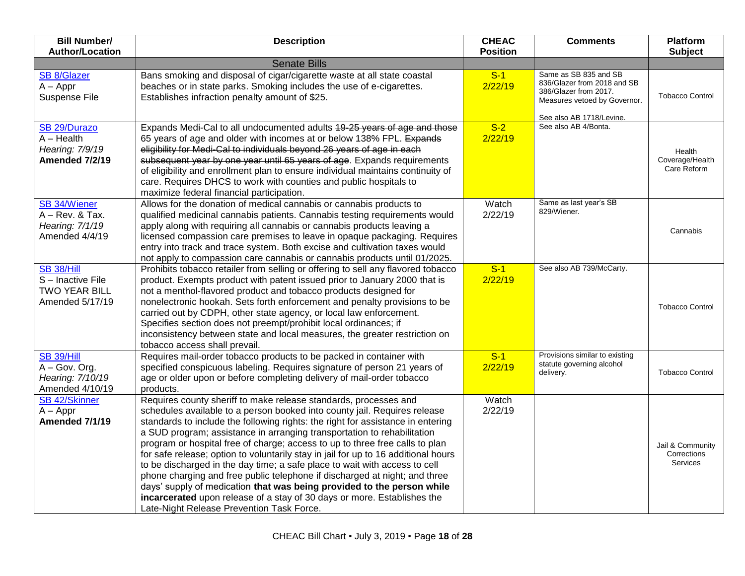| <b>Bill Number/</b><br><b>Author/Location</b>                                        | <b>Description</b>                                                                                                                                                                                                                                                                                                                                                                                                                                                                                                                                                                                                                                                                                                                                                                                                                              | <b>CHEAC</b><br><b>Position</b> | <b>Comments</b>                                                                                                                           | <b>Platform</b><br><b>Subject</b>           |
|--------------------------------------------------------------------------------------|-------------------------------------------------------------------------------------------------------------------------------------------------------------------------------------------------------------------------------------------------------------------------------------------------------------------------------------------------------------------------------------------------------------------------------------------------------------------------------------------------------------------------------------------------------------------------------------------------------------------------------------------------------------------------------------------------------------------------------------------------------------------------------------------------------------------------------------------------|---------------------------------|-------------------------------------------------------------------------------------------------------------------------------------------|---------------------------------------------|
|                                                                                      | <b>Senate Bills</b>                                                                                                                                                                                                                                                                                                                                                                                                                                                                                                                                                                                                                                                                                                                                                                                                                             |                                 |                                                                                                                                           |                                             |
| <b>SB 8/Glazer</b><br>$A - Appr$<br>Suspense File                                    | Bans smoking and disposal of cigar/cigarette waste at all state coastal<br>beaches or in state parks. Smoking includes the use of e-cigarettes.<br>Establishes infraction penalty amount of \$25.                                                                                                                                                                                                                                                                                                                                                                                                                                                                                                                                                                                                                                               | $S-1$<br>2/22/19                | Same as SB 835 and SB<br>836/Glazer from 2018 and SB<br>386/Glazer from 2017.<br>Measures vetoed by Governor.<br>See also AB 1718/Levine. | <b>Tobacco Control</b>                      |
| SB <sub>29</sub> /Durazo<br>$A - Health$<br>Hearing: 7/9/19<br><b>Amended 7/2/19</b> | Expands Medi-Cal to all undocumented adults 49-25 years of age and those<br>65 years of age and older with incomes at or below 138% FPL. Expands<br>eligibility for Medi-Cal to individuals beyond 26 years of age in each<br>subsequent year by one year until 65 years of age. Expands requirements<br>of eligibility and enrollment plan to ensure individual maintains continuity of<br>care. Requires DHCS to work with counties and public hospitals to<br>maximize federal financial participation.                                                                                                                                                                                                                                                                                                                                      | $S-2$<br>2/22/19                | See also AB 4/Bonta.                                                                                                                      | Health<br>Coverage/Health<br>Care Reform    |
| <b>SB 34/Wiener</b><br>$A - Rev.$ & Tax.<br>Hearing: 7/1/19<br>Amended 4/4/19        | Allows for the donation of medical cannabis or cannabis products to<br>qualified medicinal cannabis patients. Cannabis testing requirements would<br>apply along with requiring all cannabis or cannabis products leaving a<br>licensed compassion care premises to leave in opaque packaging. Requires<br>entry into track and trace system. Both excise and cultivation taxes would<br>not apply to compassion care cannabis or cannabis products until 01/2025.                                                                                                                                                                                                                                                                                                                                                                              | Watch<br>2/22/19                | Same as last year's SB<br>829/Wiener.                                                                                                     | Cannabis                                    |
| <b>SB 38/Hill</b><br>S-Inactive File<br><b>TWO YEAR BILL</b><br>Amended 5/17/19      | Prohibits tobacco retailer from selling or offering to sell any flavored tobacco<br>product. Exempts product with patent issued prior to January 2000 that is<br>not a menthol-flavored product and tobacco products designed for<br>nonelectronic hookah. Sets forth enforcement and penalty provisions to be<br>carried out by CDPH, other state agency, or local law enforcement.<br>Specifies section does not preempt/prohibit local ordinances; if<br>inconsistency between state and local measures, the greater restriction on<br>tobacco access shall prevail.                                                                                                                                                                                                                                                                         | $S-1$<br>2/22/19                | See also AB 739/McCarty.                                                                                                                  | <b>Tobacco Control</b>                      |
| <b>SB 39/Hill</b><br>A - Gov. Org.<br>Hearing: 7/10/19<br>Amended 4/10/19            | Requires mail-order tobacco products to be packed in container with<br>specified conspicuous labeling. Requires signature of person 21 years of<br>age or older upon or before completing delivery of mail-order tobacco<br>products.                                                                                                                                                                                                                                                                                                                                                                                                                                                                                                                                                                                                           | $S-1$<br>2/22/19                | Provisions similar to existing<br>statute governing alcohol<br>delivery.                                                                  | <b>Tobacco Control</b>                      |
| <b>SB 42/Skinner</b><br>$A - Appr$<br>Amended 7/1/19                                 | Requires county sheriff to make release standards, processes and<br>schedules available to a person booked into county jail. Requires release<br>standards to include the following rights: the right for assistance in entering<br>a SUD program; assistance in arranging transportation to rehabilitation<br>program or hospital free of charge; access to up to three free calls to plan<br>for safe release; option to voluntarily stay in jail for up to 16 additional hours<br>to be discharged in the day time; a safe place to wait with access to cell<br>phone charging and free public telephone if discharged at night; and three<br>days' supply of medication that was being provided to the person while<br>incarcerated upon release of a stay of 30 days or more. Establishes the<br>Late-Night Release Prevention Task Force. | Watch<br>2/22/19                |                                                                                                                                           | Jail & Community<br>Corrections<br>Services |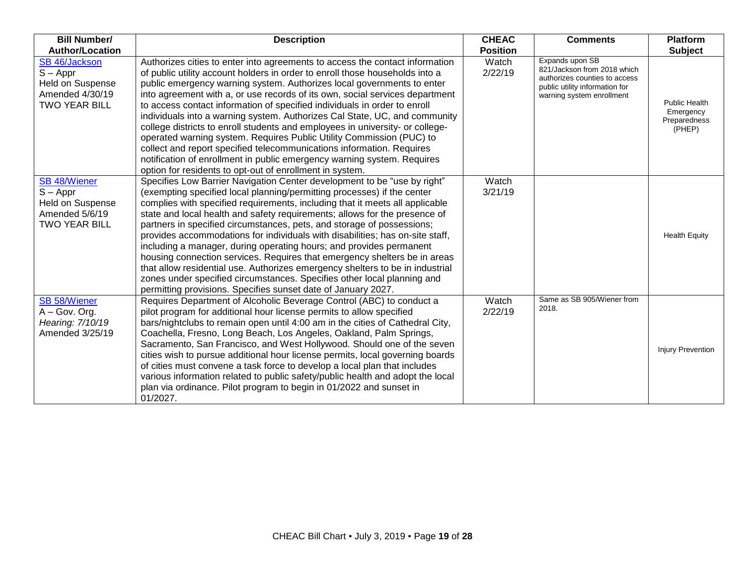| <b>Bill Number/</b>                                                                                    | <b>Description</b>                                                                                                                                                                                                                                                                                                                                                                                                                                                                                                                                                                                                                                                                                                                                                                                                                                            | <b>CHEAC</b>             | <b>Comments</b>                                                                                                             | <b>Platform</b>                                             |
|--------------------------------------------------------------------------------------------------------|---------------------------------------------------------------------------------------------------------------------------------------------------------------------------------------------------------------------------------------------------------------------------------------------------------------------------------------------------------------------------------------------------------------------------------------------------------------------------------------------------------------------------------------------------------------------------------------------------------------------------------------------------------------------------------------------------------------------------------------------------------------------------------------------------------------------------------------------------------------|--------------------------|-----------------------------------------------------------------------------------------------------------------------------|-------------------------------------------------------------|
| <b>Author/Location</b><br>SB 46/Jackson                                                                | Authorizes cities to enter into agreements to access the contact information                                                                                                                                                                                                                                                                                                                                                                                                                                                                                                                                                                                                                                                                                                                                                                                  | <b>Position</b><br>Watch | Expands upon SB                                                                                                             | <b>Subject</b>                                              |
| $S - Appr$<br><b>Held on Suspense</b><br>Amended 4/30/19<br><b>TWO YEAR BILL</b>                       | of public utility account holders in order to enroll those households into a<br>public emergency warning system. Authorizes local governments to enter<br>into agreement with a, or use records of its own, social services department<br>to access contact information of specified individuals in order to enroll<br>individuals into a warning system. Authorizes Cal State, UC, and community<br>college districts to enroll students and employees in university- or college-<br>operated warning system. Requires Public Utility Commission (PUC) to<br>collect and report specified telecommunications information. Requires<br>notification of enrollment in public emergency warning system. Requires<br>option for residents to opt-out of enrollment in system.                                                                                    | 2/22/19                  | 821/Jackson from 2018 which<br>authorizes counties to access<br>public utility information for<br>warning system enrollment | <b>Public Health</b><br>Emergency<br>Preparedness<br>(PHEP) |
| <b>SB 48/Wiener</b><br>$S - Appr$<br><b>Held on Suspense</b><br>Amended 5/6/19<br><b>TWO YEAR BILL</b> | Specifies Low Barrier Navigation Center development to be "use by right"<br>(exempting specified local planning/permitting processes) if the center<br>complies with specified requirements, including that it meets all applicable<br>state and local health and safety requirements; allows for the presence of<br>partners in specified circumstances, pets, and storage of possessions;<br>provides accommodations for individuals with disabilities; has on-site staff,<br>including a manager, during operating hours; and provides permanent<br>housing connection services. Requires that emergency shelters be in areas<br>that allow residential use. Authorizes emergency shelters to be in industrial<br>zones under specified circumstances. Specifies other local planning and<br>permitting provisions. Specifies sunset date of January 2027. | Watch<br>3/21/19         |                                                                                                                             | <b>Health Equity</b>                                        |
| <b>SB 58/Wiener</b><br>A - Gov. Org.<br>Hearing: 7/10/19<br>Amended 3/25/19                            | Requires Department of Alcoholic Beverage Control (ABC) to conduct a<br>pilot program for additional hour license permits to allow specified<br>bars/nightclubs to remain open until 4:00 am in the cities of Cathedral City,<br>Coachella, Fresno, Long Beach, Los Angeles, Oakland, Palm Springs,<br>Sacramento, San Francisco, and West Hollywood. Should one of the seven<br>cities wish to pursue additional hour license permits, local governing boards<br>of cities must convene a task force to develop a local plan that includes<br>various information related to public safety/public health and adopt the local<br>plan via ordinance. Pilot program to begin in 01/2022 and sunset in<br>01/2027.                                                                                                                                              | Watch<br>2/22/19         | Same as SB 905/Wiener from<br>2018.                                                                                         | <b>Injury Prevention</b>                                    |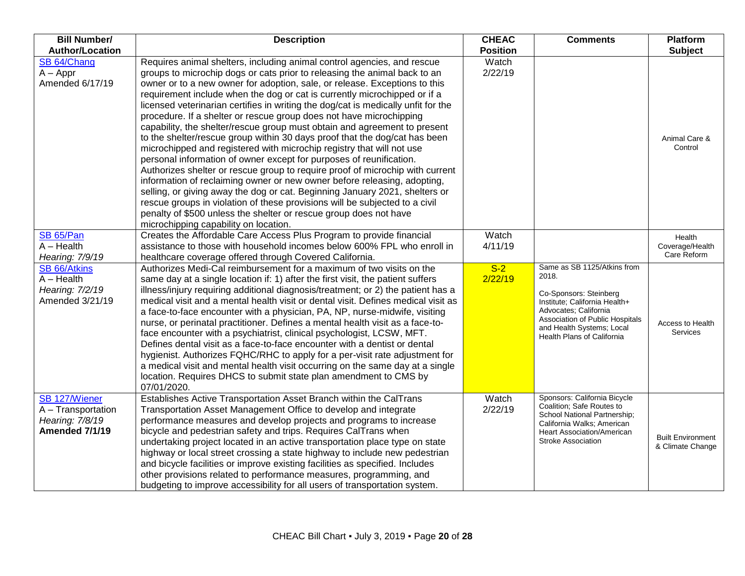| <b>Bill Number/</b><br><b>Author/Location</b> | <b>Description</b>                                                                                                                                         | <b>CHEAC</b><br><b>Position</b> | <b>Comments</b>                                                | <b>Platform</b><br><b>Subject</b> |
|-----------------------------------------------|------------------------------------------------------------------------------------------------------------------------------------------------------------|---------------------------------|----------------------------------------------------------------|-----------------------------------|
| SB 64/Chang                                   | Requires animal shelters, including animal control agencies, and rescue                                                                                    | Watch                           |                                                                |                                   |
| $A - Appr$                                    | groups to microchip dogs or cats prior to releasing the animal back to an                                                                                  | 2/22/19                         |                                                                |                                   |
| Amended 6/17/19                               | owner or to a new owner for adoption, sale, or release. Exceptions to this                                                                                 |                                 |                                                                |                                   |
|                                               | requirement include when the dog or cat is currently microchipped or if a                                                                                  |                                 |                                                                |                                   |
|                                               | licensed veterinarian certifies in writing the dog/cat is medically unfit for the                                                                          |                                 |                                                                |                                   |
|                                               | procedure. If a shelter or rescue group does not have microchipping                                                                                        |                                 |                                                                |                                   |
|                                               | capability, the shelter/rescue group must obtain and agreement to present                                                                                  |                                 |                                                                |                                   |
|                                               | to the shelter/rescue group within 30 days proof that the dog/cat has been                                                                                 |                                 |                                                                | Animal Care &                     |
|                                               | microchipped and registered with microchip registry that will not use                                                                                      |                                 |                                                                | Control                           |
|                                               | personal information of owner except for purposes of reunification.                                                                                        |                                 |                                                                |                                   |
|                                               | Authorizes shelter or rescue group to require proof of microchip with current                                                                              |                                 |                                                                |                                   |
|                                               | information of reclaiming owner or new owner before releasing, adopting,                                                                                   |                                 |                                                                |                                   |
|                                               | selling, or giving away the dog or cat. Beginning January 2021, shelters or                                                                                |                                 |                                                                |                                   |
|                                               | rescue groups in violation of these provisions will be subjected to a civil                                                                                |                                 |                                                                |                                   |
|                                               | penalty of \$500 unless the shelter or rescue group does not have                                                                                          |                                 |                                                                |                                   |
|                                               | microchipping capability on location.                                                                                                                      |                                 |                                                                |                                   |
| SB 65/Pan                                     | Creates the Affordable Care Access Plus Program to provide financial                                                                                       | Watch                           |                                                                | Health                            |
| $A - Health$                                  | assistance to those with household incomes below 600% FPL who enroll in                                                                                    | 4/11/19                         |                                                                | Coverage/Health                   |
| Hearing: 7/9/19                               | healthcare coverage offered through Covered California.                                                                                                    |                                 |                                                                | Care Reform                       |
| SB 66/Atkins                                  | Authorizes Medi-Cal reimbursement for a maximum of two visits on the                                                                                       | $S-2$                           | Same as SB 1125/Atkins from                                    |                                   |
| $A - Health$                                  | same day at a single location if: 1) after the first visit, the patient suffers                                                                            | 2/22/19                         | 2018.                                                          |                                   |
| Hearing: 7/2/19                               | illness/injury requiring additional diagnosis/treatment; or 2) the patient has a                                                                           |                                 | Co-Sponsors: Steinberg                                         |                                   |
| Amended 3/21/19                               | medical visit and a mental health visit or dental visit. Defines medical visit as                                                                          |                                 | Institute; California Health+                                  |                                   |
|                                               | a face-to-face encounter with a physician, PA, NP, nurse-midwife, visiting                                                                                 |                                 | Advocates; California                                          |                                   |
|                                               | nurse, or perinatal practitioner. Defines a mental health visit as a face-to-                                                                              |                                 | Association of Public Hospitals<br>and Health Systems; Local   | Access to Health                  |
|                                               | face encounter with a psychiatrist, clinical psychologist, LCSW, MFT.                                                                                      |                                 | <b>Health Plans of California</b>                              | <b>Services</b>                   |
|                                               | Defines dental visit as a face-to-face encounter with a dentist or dental                                                                                  |                                 |                                                                |                                   |
|                                               | hygienist. Authorizes FQHC/RHC to apply for a per-visit rate adjustment for                                                                                |                                 |                                                                |                                   |
|                                               | a medical visit and mental health visit occurring on the same day at a single                                                                              |                                 |                                                                |                                   |
|                                               | location. Requires DHCS to submit state plan amendment to CMS by                                                                                           |                                 |                                                                |                                   |
|                                               | 07/01/2020.                                                                                                                                                |                                 |                                                                |                                   |
| SB 127/Wiener                                 | Establishes Active Transportation Asset Branch within the CalTrans                                                                                         | Watch                           | Sponsors: California Bicycle<br>Coalition; Safe Routes to      |                                   |
| A - Transportation                            | Transportation Asset Management Office to develop and integrate                                                                                            | 2/22/19                         | School National Partnership;                                   |                                   |
| Hearing: 7/8/19                               | performance measures and develop projects and programs to increase                                                                                         |                                 | California Walks; American                                     |                                   |
| Amended 7/1/19                                | bicycle and pedestrian safety and trips. Requires CalTrans when                                                                                            |                                 | <b>Heart Association/American</b><br><b>Stroke Association</b> | <b>Built Environment</b>          |
|                                               | undertaking project located in an active transportation place type on state                                                                                |                                 |                                                                | & Climate Change                  |
|                                               | highway or local street crossing a state highway to include new pedestrian<br>and bicycle facilities or improve existing facilities as specified. Includes |                                 |                                                                |                                   |
|                                               |                                                                                                                                                            |                                 |                                                                |                                   |
|                                               | other provisions related to performance measures, programming, and<br>budgeting to improve accessibility for all users of transportation system.           |                                 |                                                                |                                   |
|                                               |                                                                                                                                                            |                                 |                                                                |                                   |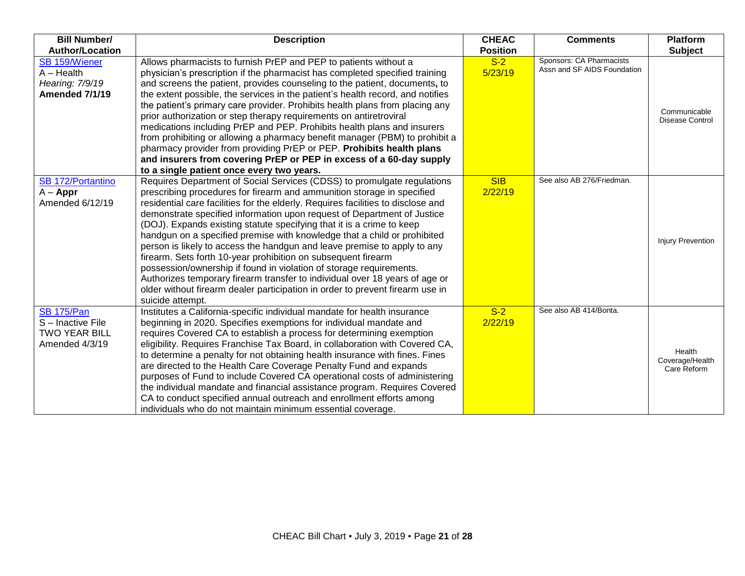| <b>Bill Number/</b>                                                            | <b>Description</b>                                                                                                                                                                                                                                                                                                                                                                                                                                                                                                                                                                                                                                                                                                                                                                                                                                                            | <b>CHEAC</b>          | <b>Comments</b>             | <b>Platform</b>                          |
|--------------------------------------------------------------------------------|-------------------------------------------------------------------------------------------------------------------------------------------------------------------------------------------------------------------------------------------------------------------------------------------------------------------------------------------------------------------------------------------------------------------------------------------------------------------------------------------------------------------------------------------------------------------------------------------------------------------------------------------------------------------------------------------------------------------------------------------------------------------------------------------------------------------------------------------------------------------------------|-----------------------|-----------------------------|------------------------------------------|
| <b>Author/Location</b>                                                         |                                                                                                                                                                                                                                                                                                                                                                                                                                                                                                                                                                                                                                                                                                                                                                                                                                                                               | <b>Position</b>       | Sponsors: CA Pharmacists    | <b>Subject</b>                           |
| SB 159/Wiener<br>$A - Health$<br>Hearing: 7/9/19<br><b>Amended 7/1/19</b>      | Allows pharmacists to furnish PrEP and PEP to patients without a<br>physician's prescription if the pharmacist has completed specified training<br>and screens the patient, provides counseling to the patient, documents, to<br>the extent possible, the services in the patient's health record, and notifies<br>the patient's primary care provider. Prohibits health plans from placing any<br>prior authorization or step therapy requirements on antiretroviral<br>medications including PrEP and PEP. Prohibits health plans and insurers<br>from prohibiting or allowing a pharmacy benefit manager (PBM) to prohibit a<br>pharmacy provider from providing PrEP or PEP. Prohibits health plans<br>and insurers from covering PrEP or PEP in excess of a 60-day supply<br>to a single patient once every two years.                                                   | $S-2$<br>5/23/19      | Assn and SF AIDS Foundation | Communicable<br><b>Disease Control</b>   |
| SB 172/Portantino<br>$A - Appr$<br>Amended 6/12/19                             | Requires Department of Social Services (CDSS) to promulgate regulations<br>prescribing procedures for firearm and ammunition storage in specified<br>residential care facilities for the elderly. Requires facilities to disclose and<br>demonstrate specified information upon request of Department of Justice<br>(DOJ). Expands existing statute specifying that it is a crime to keep<br>handgun on a specified premise with knowledge that a child or prohibited<br>person is likely to access the handgun and leave premise to apply to any<br>firearm. Sets forth 10-year prohibition on subsequent firearm<br>possession/ownership if found in violation of storage requirements.<br>Authorizes temporary firearm transfer to individual over 18 years of age or<br>older without firearm dealer participation in order to prevent firearm use in<br>suicide attempt. | <b>SIB</b><br>2/22/19 | See also AB 276/Friedman.   | <b>Injury Prevention</b>                 |
| <b>SB 175/Pan</b><br>S-Inactive File<br><b>TWO YEAR BILL</b><br>Amended 4/3/19 | Institutes a California-specific individual mandate for health insurance<br>beginning in 2020. Specifies exemptions for individual mandate and<br>requires Covered CA to establish a process for determining exemption<br>eligibility. Requires Franchise Tax Board, in collaboration with Covered CA,<br>to determine a penalty for not obtaining health insurance with fines. Fines<br>are directed to the Health Care Coverage Penalty Fund and expands<br>purposes of Fund to include Covered CA operational costs of administering<br>the individual mandate and financial assistance program. Requires Covered<br>CA to conduct specified annual outreach and enrollment efforts among<br>individuals who do not maintain minimum essential coverage.                                                                                                                   | $S-2$<br>2/22/19      | See also AB 414/Bonta.      | Health<br>Coverage/Health<br>Care Reform |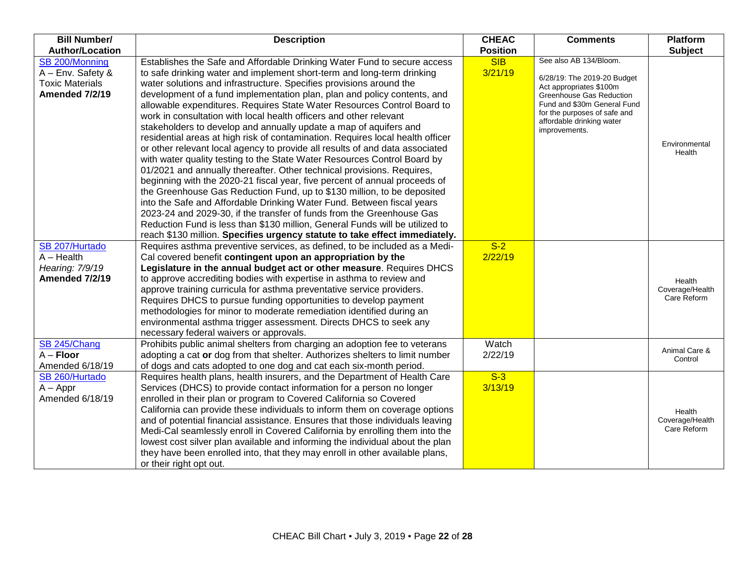| <b>Bill Number/</b><br><b>Author/Location</b> | <b>Description</b>                                                                                                                              | <b>CHEAC</b><br><b>Position</b> | <b>Comments</b>                                     | Platform<br><b>Subject</b> |
|-----------------------------------------------|-------------------------------------------------------------------------------------------------------------------------------------------------|---------------------------------|-----------------------------------------------------|----------------------------|
| SB 200/Monning                                | Establishes the Safe and Affordable Drinking Water Fund to secure access                                                                        | <b>SIB</b>                      | See also AB 134/Bloom.                              |                            |
| A - Env. Safety &                             | to safe drinking water and implement short-term and long-term drinking                                                                          | 3/21/19                         |                                                     |                            |
| <b>Toxic Materials</b>                        | water solutions and infrastructure. Specifies provisions around the                                                                             |                                 | 6/28/19: The 2019-20 Budget                         |                            |
| <b>Amended 7/2/19</b>                         | development of a fund implementation plan, plan and policy contents, and                                                                        |                                 | Act appropriates \$100m<br>Greenhouse Gas Reduction |                            |
|                                               | allowable expenditures. Requires State Water Resources Control Board to                                                                         |                                 | Fund and \$30m General Fund                         |                            |
|                                               | work in consultation with local health officers and other relevant                                                                              |                                 | for the purposes of safe and                        |                            |
|                                               | stakeholders to develop and annually update a map of aquifers and                                                                               |                                 | affordable drinking water                           |                            |
|                                               | residential areas at high risk of contamination. Requires local health officer                                                                  |                                 | improvements.                                       |                            |
|                                               | or other relevant local agency to provide all results of and data associated                                                                    |                                 |                                                     | Environmental              |
|                                               | with water quality testing to the State Water Resources Control Board by                                                                        |                                 |                                                     | Health                     |
|                                               | 01/2021 and annually thereafter. Other technical provisions. Requires,                                                                          |                                 |                                                     |                            |
|                                               | beginning with the 2020-21 fiscal year, five percent of annual proceeds of                                                                      |                                 |                                                     |                            |
|                                               | the Greenhouse Gas Reduction Fund, up to \$130 million, to be deposited                                                                         |                                 |                                                     |                            |
|                                               | into the Safe and Affordable Drinking Water Fund. Between fiscal years                                                                          |                                 |                                                     |                            |
|                                               | 2023-24 and 2029-30, if the transfer of funds from the Greenhouse Gas                                                                           |                                 |                                                     |                            |
|                                               | Reduction Fund is less than \$130 million, General Funds will be utilized to                                                                    |                                 |                                                     |                            |
|                                               | reach \$130 million. Specifies urgency statute to take effect immediately.                                                                      |                                 |                                                     |                            |
| SB 207/Hurtado                                | Requires asthma preventive services, as defined, to be included as a Medi-                                                                      | $S-2$                           |                                                     |                            |
| $A - Health$                                  | Cal covered benefit contingent upon an appropriation by the                                                                                     | 2/22/19                         |                                                     |                            |
| Hearing: 7/9/19                               | Legislature in the annual budget act or other measure. Requires DHCS                                                                            |                                 |                                                     |                            |
| <b>Amended 7/2/19</b>                         | to approve accrediting bodies with expertise in asthma to review and                                                                            |                                 |                                                     | Health                     |
|                                               | approve training curricula for asthma preventative service providers.                                                                           |                                 |                                                     | Coverage/Health            |
|                                               | Requires DHCS to pursue funding opportunities to develop payment                                                                                |                                 |                                                     | Care Reform                |
|                                               | methodologies for minor to moderate remediation identified during an                                                                            |                                 |                                                     |                            |
|                                               | environmental asthma trigger assessment. Directs DHCS to seek any                                                                               |                                 |                                                     |                            |
|                                               | necessary federal waivers or approvals.                                                                                                         |                                 |                                                     |                            |
| SB 245/Chang                                  | Prohibits public animal shelters from charging an adoption fee to veterans                                                                      | Watch                           |                                                     | Animal Care &              |
| $A -$ Floor<br>Amended 6/18/19                | adopting a cat or dog from that shelter. Authorizes shelters to limit number                                                                    | 2/22/19                         |                                                     | Control                    |
| SB 260/Hurtado                                | of dogs and cats adopted to one dog and cat each six-month period.<br>Requires health plans, health insurers, and the Department of Health Care | $S-3$                           |                                                     |                            |
| $A - Appr$                                    | Services (DHCS) to provide contact information for a person no longer                                                                           | 3/13/19                         |                                                     |                            |
| Amended 6/18/19                               | enrolled in their plan or program to Covered California so Covered                                                                              |                                 |                                                     |                            |
|                                               | California can provide these individuals to inform them on coverage options                                                                     |                                 |                                                     |                            |
|                                               | and of potential financial assistance. Ensures that those individuals leaving                                                                   |                                 |                                                     | Health<br>Coverage/Health  |
|                                               | Medi-Cal seamlessly enroll in Covered California by enrolling them into the                                                                     |                                 |                                                     | Care Reform                |
|                                               | lowest cost silver plan available and informing the individual about the plan                                                                   |                                 |                                                     |                            |
|                                               | they have been enrolled into, that they may enroll in other available plans,                                                                    |                                 |                                                     |                            |
|                                               | or their right opt out.                                                                                                                         |                                 |                                                     |                            |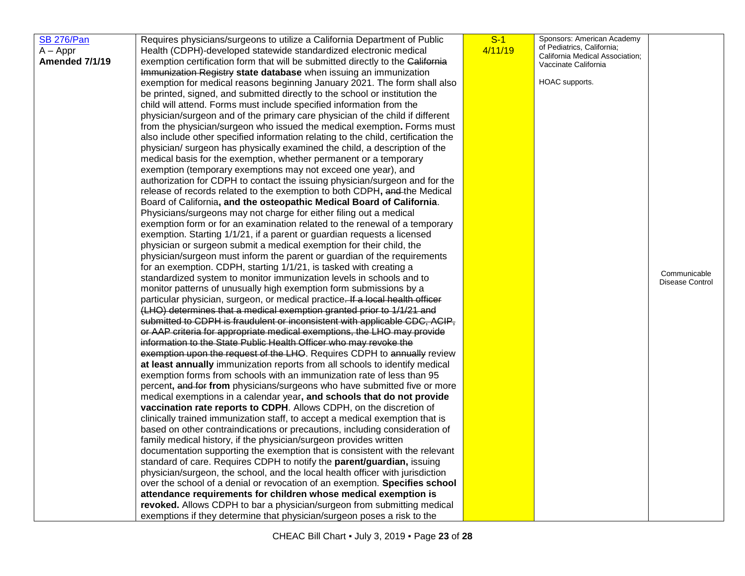| <b>SB 276/Pan</b>     | Requires physicians/surgeons to utilize a California Department of Public                                                                          | $S-1$   | Sponsors: American Academy                                    |                                 |
|-----------------------|----------------------------------------------------------------------------------------------------------------------------------------------------|---------|---------------------------------------------------------------|---------------------------------|
| $A - Appr$            | Health (CDPH)-developed statewide standardized electronic medical                                                                                  | 4/11/19 | of Pediatrics, California;<br>California Medical Association; |                                 |
| <b>Amended 7/1/19</b> | exemption certification form that will be submitted directly to the California                                                                     |         | Vaccinate California                                          |                                 |
|                       | Immunization Registry state database when issuing an immunization                                                                                  |         |                                                               |                                 |
|                       | exemption for medical reasons beginning January 2021. The form shall also                                                                          |         | HOAC supports.                                                |                                 |
|                       | be printed, signed, and submitted directly to the school or institution the                                                                        |         |                                                               |                                 |
|                       | child will attend. Forms must include specified information from the                                                                               |         |                                                               |                                 |
|                       | physician/surgeon and of the primary care physician of the child if different                                                                      |         |                                                               |                                 |
|                       | from the physician/surgeon who issued the medical exemption. Forms must                                                                            |         |                                                               |                                 |
|                       | also include other specified information relating to the child, certification the                                                                  |         |                                                               |                                 |
|                       | physician/ surgeon has physically examined the child, a description of the                                                                         |         |                                                               |                                 |
|                       | medical basis for the exemption, whether permanent or a temporary                                                                                  |         |                                                               |                                 |
|                       | exemption (temporary exemptions may not exceed one year), and                                                                                      |         |                                                               |                                 |
|                       | authorization for CDPH to contact the issuing physician/surgeon and for the                                                                        |         |                                                               |                                 |
|                       | release of records related to the exemption to both CDPH, and the Medical<br>Board of California, and the osteopathic Medical Board of California. |         |                                                               |                                 |
|                       | Physicians/surgeons may not charge for either filing out a medical                                                                                 |         |                                                               |                                 |
|                       | exemption form or for an examination related to the renewal of a temporary                                                                         |         |                                                               |                                 |
|                       | exemption. Starting 1/1/21, if a parent or guardian requests a licensed                                                                            |         |                                                               |                                 |
|                       | physician or surgeon submit a medical exemption for their child, the                                                                               |         |                                                               |                                 |
|                       | physician/surgeon must inform the parent or guardian of the requirements                                                                           |         |                                                               |                                 |
|                       | for an exemption. CDPH, starting 1/1/21, is tasked with creating a                                                                                 |         |                                                               |                                 |
|                       | standardized system to monitor immunization levels in schools and to                                                                               |         |                                                               | Communicable<br>Disease Control |
|                       | monitor patterns of unusually high exemption form submissions by a                                                                                 |         |                                                               |                                 |
|                       | particular physician, surgeon, or medical practice. If a local health officer                                                                      |         |                                                               |                                 |
|                       | (LHO) determines that a medical exemption granted prior to 1/1/21 and                                                                              |         |                                                               |                                 |
|                       | submitted to CDPH is fraudulent or inconsistent with applicable CDC, ACIP,                                                                         |         |                                                               |                                 |
|                       | or AAP criteria for appropriate medical exemptions, the LHO may provide                                                                            |         |                                                               |                                 |
|                       | information to the State Public Health Officer who may revoke the                                                                                  |         |                                                               |                                 |
|                       | exemption upon the request of the LHO. Requires CDPH to annually review                                                                            |         |                                                               |                                 |
|                       | at least annually immunization reports from all schools to identify medical                                                                        |         |                                                               |                                 |
|                       | exemption forms from schools with an immunization rate of less than 95                                                                             |         |                                                               |                                 |
|                       | percent, and for from physicians/surgeons who have submitted five or more                                                                          |         |                                                               |                                 |
|                       | medical exemptions in a calendar year, and schools that do not provide<br>vaccination rate reports to CDPH. Allows CDPH, on the discretion of      |         |                                                               |                                 |
|                       | clinically trained immunization staff, to accept a medical exemption that is                                                                       |         |                                                               |                                 |
|                       | based on other contraindications or precautions, including consideration of                                                                        |         |                                                               |                                 |
|                       | family medical history, if the physician/surgeon provides written                                                                                  |         |                                                               |                                 |
|                       | documentation supporting the exemption that is consistent with the relevant                                                                        |         |                                                               |                                 |
|                       | standard of care. Requires CDPH to notify the parent/guardian, issuing                                                                             |         |                                                               |                                 |
|                       | physician/surgeon, the school, and the local health officer with jurisdiction                                                                      |         |                                                               |                                 |
|                       | over the school of a denial or revocation of an exemption. Specifies school                                                                        |         |                                                               |                                 |
|                       | attendance requirements for children whose medical exemption is                                                                                    |         |                                                               |                                 |
|                       | revoked. Allows CDPH to bar a physician/surgeon from submitting medical                                                                            |         |                                                               |                                 |
|                       | exemptions if they determine that physician/surgeon poses a risk to the                                                                            |         |                                                               |                                 |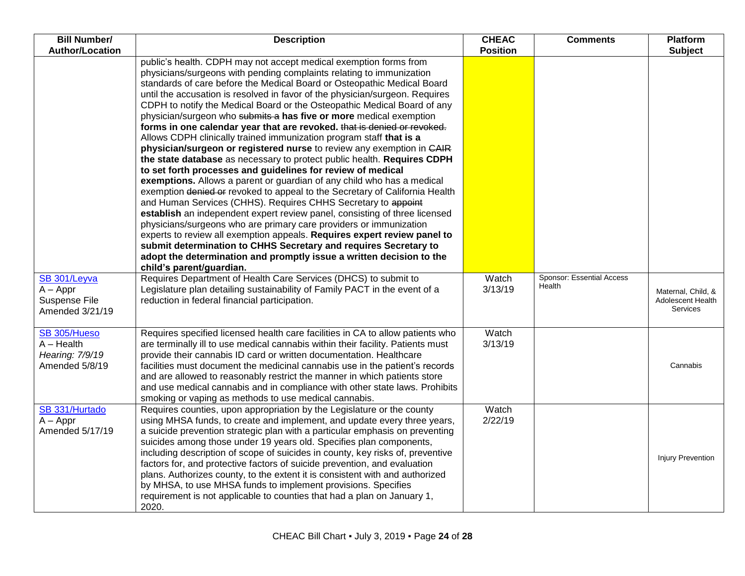| <b>Bill Number/</b>    | <b>Description</b>                                                                                                                             | <b>CHEAC</b>    | <b>Comments</b>           | <b>Platform</b>          |
|------------------------|------------------------------------------------------------------------------------------------------------------------------------------------|-----------------|---------------------------|--------------------------|
| <b>Author/Location</b> | public's health. CDPH may not accept medical exemption forms from                                                                              | <b>Position</b> |                           | <b>Subject</b>           |
|                        | physicians/surgeons with pending complaints relating to immunization                                                                           |                 |                           |                          |
|                        | standards of care before the Medical Board or Osteopathic Medical Board                                                                        |                 |                           |                          |
|                        | until the accusation is resolved in favor of the physician/surgeon. Requires                                                                   |                 |                           |                          |
|                        | CDPH to notify the Medical Board or the Osteopathic Medical Board of any                                                                       |                 |                           |                          |
|                        | physician/surgeon who submits a has five or more medical exemption                                                                             |                 |                           |                          |
|                        | forms in one calendar year that are revoked. that is denied or revoked.                                                                        |                 |                           |                          |
|                        | Allows CDPH clinically trained immunization program staff that is a                                                                            |                 |                           |                          |
|                        | physician/surgeon or registered nurse to review any exemption in CAIR                                                                          |                 |                           |                          |
|                        | the state database as necessary to protect public health. Requires CDPH                                                                        |                 |                           |                          |
|                        | to set forth processes and guidelines for review of medical                                                                                    |                 |                           |                          |
|                        | exemptions. Allows a parent or guardian of any child who has a medical                                                                         |                 |                           |                          |
|                        | exemption denied or revoked to appeal to the Secretary of California Health                                                                    |                 |                           |                          |
|                        | and Human Services (CHHS). Requires CHHS Secretary to appoint                                                                                  |                 |                           |                          |
|                        | establish an independent expert review panel, consisting of three licensed                                                                     |                 |                           |                          |
|                        | physicians/surgeons who are primary care providers or immunization<br>experts to review all exemption appeals. Requires expert review panel to |                 |                           |                          |
|                        | submit determination to CHHS Secretary and requires Secretary to                                                                               |                 |                           |                          |
|                        | adopt the determination and promptly issue a written decision to the                                                                           |                 |                           |                          |
|                        | child's parent/guardian.                                                                                                                       |                 |                           |                          |
| SB 301/Leyva           | Requires Department of Health Care Services (DHCS) to submit to                                                                                | Watch           | Sponsor: Essential Access |                          |
| $A - Appr$             | Legislature plan detailing sustainability of Family PACT in the event of a                                                                     | 3/13/19         | Health                    | Maternal, Child, &       |
| Suspense File          | reduction in federal financial participation.                                                                                                  |                 |                           | Adolescent Health        |
| Amended 3/21/19        |                                                                                                                                                |                 |                           | Services                 |
|                        |                                                                                                                                                |                 |                           |                          |
| SB 305/Hueso           | Requires specified licensed health care facilities in CA to allow patients who                                                                 | Watch           |                           |                          |
| $A - Health$           | are terminally ill to use medical cannabis within their facility. Patients must                                                                | 3/13/19         |                           |                          |
| Hearing: 7/9/19        | provide their cannabis ID card or written documentation. Healthcare                                                                            |                 |                           |                          |
| Amended 5/8/19         | facilities must document the medicinal cannabis use in the patient's records                                                                   |                 |                           | Cannabis                 |
|                        | and are allowed to reasonably restrict the manner in which patients store                                                                      |                 |                           |                          |
|                        | and use medical cannabis and in compliance with other state laws. Prohibits<br>smoking or vaping as methods to use medical cannabis.           |                 |                           |                          |
| SB 331/Hurtado         | Requires counties, upon appropriation by the Legislature or the county                                                                         | Watch           |                           |                          |
| $A - Appr$             | using MHSA funds, to create and implement, and update every three years,                                                                       | 2/22/19         |                           |                          |
| Amended 5/17/19        | a suicide prevention strategic plan with a particular emphasis on preventing                                                                   |                 |                           |                          |
|                        | suicides among those under 19 years old. Specifies plan components,                                                                            |                 |                           |                          |
|                        | including description of scope of suicides in county, key risks of, preventive                                                                 |                 |                           |                          |
|                        | factors for, and protective factors of suicide prevention, and evaluation                                                                      |                 |                           | <b>Injury Prevention</b> |
|                        | plans. Authorizes county, to the extent it is consistent with and authorized                                                                   |                 |                           |                          |
|                        | by MHSA, to use MHSA funds to implement provisions. Specifies                                                                                  |                 |                           |                          |
|                        | requirement is not applicable to counties that had a plan on January 1,                                                                        |                 |                           |                          |
|                        | 2020.                                                                                                                                          |                 |                           |                          |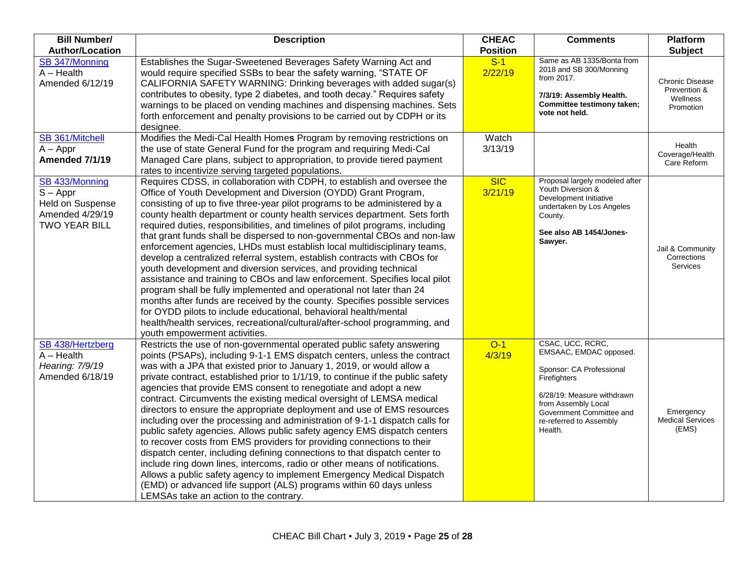| <b>Bill Number/</b><br><b>Author/Location</b>                                               | <b>Description</b>                                                                                                                                                                                                                                                                                                                                                                                                                                                                                                                                                                                                                                                                                                                                                                                                                                                                                                                                                                                                                                                                                                                   | <b>CHEAC</b><br><b>Position</b> | <b>Comments</b>                                                                                                                                                                                               | <b>Platform</b><br><b>Subject</b>                               |
|---------------------------------------------------------------------------------------------|--------------------------------------------------------------------------------------------------------------------------------------------------------------------------------------------------------------------------------------------------------------------------------------------------------------------------------------------------------------------------------------------------------------------------------------------------------------------------------------------------------------------------------------------------------------------------------------------------------------------------------------------------------------------------------------------------------------------------------------------------------------------------------------------------------------------------------------------------------------------------------------------------------------------------------------------------------------------------------------------------------------------------------------------------------------------------------------------------------------------------------------|---------------------------------|---------------------------------------------------------------------------------------------------------------------------------------------------------------------------------------------------------------|-----------------------------------------------------------------|
| SB 347/Monning<br>$A - Health$<br>Amended 6/12/19                                           | Establishes the Sugar-Sweetened Beverages Safety Warning Act and<br>would require specified SSBs to bear the safety warning, "STATE OF<br>CALIFORNIA SAFETY WARNING: Drinking beverages with added sugar(s)<br>contributes to obesity, type 2 diabetes, and tooth decay." Requires safety<br>warnings to be placed on vending machines and dispensing machines. Sets<br>forth enforcement and penalty provisions to be carried out by CDPH or its<br>designee.                                                                                                                                                                                                                                                                                                                                                                                                                                                                                                                                                                                                                                                                       | $S-1$<br>2/22/19                | Same as AB 1335/Bonta from<br>2018 and SB 300/Monning<br>from 2017.<br>7/3/19: Assembly Health.<br>Committee testimony taken;<br>vote not held.                                                               | <b>Chronic Disease</b><br>Prevention &<br>Wellness<br>Promotion |
| SB 361/Mitchell<br>$A - Appr$<br>Amended 7/1/19                                             | Modifies the Medi-Cal Health Homes Program by removing restrictions on<br>the use of state General Fund for the program and requiring Medi-Cal<br>Managed Care plans, subject to appropriation, to provide tiered payment<br>rates to incentivize serving targeted populations.                                                                                                                                                                                                                                                                                                                                                                                                                                                                                                                                                                                                                                                                                                                                                                                                                                                      | Watch<br>3/13/19                |                                                                                                                                                                                                               | Health<br>Coverage/Health<br>Care Reform                        |
| SB 433/Monning<br>$S - Appr$<br>Held on Suspense<br>Amended 4/29/19<br><b>TWO YEAR BILL</b> | Requires CDSS, in collaboration with CDPH, to establish and oversee the<br>Office of Youth Development and Diversion (OYDD) Grant Program,<br>consisting of up to five three-year pilot programs to be administered by a<br>county health department or county health services department. Sets forth<br>required duties, responsibilities, and timelines of pilot programs, including<br>that grant funds shall be dispersed to non-governmental CBOs and non-law<br>enforcement agencies, LHDs must establish local multidisciplinary teams,<br>develop a centralized referral system, establish contracts with CBOs for<br>youth development and diversion services, and providing technical<br>assistance and training to CBOs and law enforcement. Specifies local pilot<br>program shall be fully implemented and operational not later than 24<br>months after funds are received by the county. Specifies possible services<br>for OYDD pilots to include educational, behavioral health/mental<br>health/health services, recreational/cultural/after-school programming, and<br>youth empowerment activities.              | <b>SIC</b><br>3/21/19           | Proposal largely modeled after<br>Youth Diversion &<br>Development Initiative<br>undertaken by Los Angeles<br>County.<br>See also AB 1454/Jones-<br>Sawyer.                                                   | Jail & Community<br>Corrections<br>Services                     |
| SB 438/Hertzberg<br>$A - Health$<br>Hearing: 7/9/19<br>Amended 6/18/19                      | Restricts the use of non-governmental operated public safety answering<br>points (PSAPs), including 9-1-1 EMS dispatch centers, unless the contract<br>was with a JPA that existed prior to January 1, 2019, or would allow a<br>private contract, established prior to 1/1/19, to continue if the public safety<br>agencies that provide EMS consent to renegotiate and adopt a new<br>contract. Circumvents the existing medical oversight of LEMSA medical<br>directors to ensure the appropriate deployment and use of EMS resources<br>including over the processing and administration of 9-1-1 dispatch calls for<br>public safety agencies. Allows public safety agency EMS dispatch centers<br>to recover costs from EMS providers for providing connections to their<br>dispatch center, including defining connections to that dispatch center to<br>include ring down lines, intercoms, radio or other means of notifications.<br>Allows a public safety agency to implement Emergency Medical Dispatch<br>(EMD) or advanced life support (ALS) programs within 60 days unless<br>LEMSAs take an action to the contrary. | $O-1$<br>4/3/19                 | CSAC, UCC, RCRC,<br>EMSAAC, EMDAC opposed.<br>Sponsor: CA Professional<br>Firefighters<br>6/28/19: Measure withdrawn<br>from Assembly Local<br>Government Committee and<br>re-referred to Assembly<br>Health. | Emergency<br><b>Medical Services</b><br>(EMS)                   |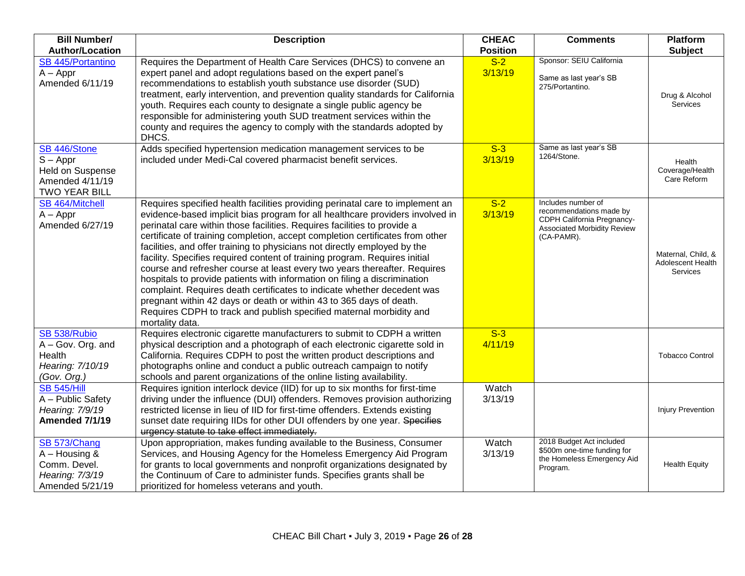| <b>Bill Number/</b>                                                                       | <b>Description</b>                                                                                                                                                                                                                                                                                                                                                                                                                                                                                                                                                                                                                                                                                                                                                                                                                                                                           | <b>CHEAC</b>     | <b>Comments</b>                                                                                                                 | <b>Platform</b>                                     |
|-------------------------------------------------------------------------------------------|----------------------------------------------------------------------------------------------------------------------------------------------------------------------------------------------------------------------------------------------------------------------------------------------------------------------------------------------------------------------------------------------------------------------------------------------------------------------------------------------------------------------------------------------------------------------------------------------------------------------------------------------------------------------------------------------------------------------------------------------------------------------------------------------------------------------------------------------------------------------------------------------|------------------|---------------------------------------------------------------------------------------------------------------------------------|-----------------------------------------------------|
| <b>Author/Location</b>                                                                    |                                                                                                                                                                                                                                                                                                                                                                                                                                                                                                                                                                                                                                                                                                                                                                                                                                                                                              | <b>Position</b>  |                                                                                                                                 | <b>Subject</b>                                      |
| <b>SB 445/Portantino</b><br>$A - Appr$<br>Amended 6/11/19                                 | Requires the Department of Health Care Services (DHCS) to convene an<br>expert panel and adopt regulations based on the expert panel's<br>recommendations to establish youth substance use disorder (SUD)<br>treatment, early intervention, and prevention quality standards for California<br>youth. Requires each county to designate a single public agency be<br>responsible for administering youth SUD treatment services within the<br>county and requires the agency to comply with the standards adopted by<br>DHCS.                                                                                                                                                                                                                                                                                                                                                                | $S-2$<br>3/13/19 | Sponsor: SEIU California<br>Same as last year's SB<br>275/Portantino.                                                           | Drug & Alcohol<br><b>Services</b>                   |
| SB 446/Stone<br>$S - Appr$<br>Held on Suspense<br>Amended 4/11/19<br><b>TWO YEAR BILL</b> | Adds specified hypertension medication management services to be<br>included under Medi-Cal covered pharmacist benefit services.                                                                                                                                                                                                                                                                                                                                                                                                                                                                                                                                                                                                                                                                                                                                                             | $S-3$<br>3/13/19 | Same as last year's SB<br>1264/Stone.                                                                                           | Health<br>Coverage/Health<br>Care Reform            |
| SB 464/Mitchell<br>$A - Appr$<br>Amended 6/27/19                                          | Requires specified health facilities providing perinatal care to implement an<br>evidence-based implicit bias program for all healthcare providers involved in<br>perinatal care within those facilities. Requires facilities to provide a<br>certificate of training completion, accept completion certificates from other<br>facilities, and offer training to physicians not directly employed by the<br>facility. Specifies required content of training program. Requires initial<br>course and refresher course at least every two years thereafter. Requires<br>hospitals to provide patients with information on filing a discrimination<br>complaint. Requires death certificates to indicate whether decedent was<br>pregnant within 42 days or death or within 43 to 365 days of death.<br>Requires CDPH to track and publish specified maternal morbidity and<br>mortality data. | $S-2$<br>3/13/19 | Includes number of<br>recommendations made by<br>CDPH California Pregnancy-<br><b>Associated Morbidity Review</b><br>(CA-PAMR). | Maternal, Child, &<br>Adolescent Health<br>Services |
| SB 538/Rubio<br>A - Gov. Org. and<br>Health<br>Hearing: 7/10/19<br>(Gov. Org.)            | Requires electronic cigarette manufacturers to submit to CDPH a written<br>physical description and a photograph of each electronic cigarette sold in<br>California. Requires CDPH to post the written product descriptions and<br>photographs online and conduct a public outreach campaign to notify<br>schools and parent organizations of the online listing availability.                                                                                                                                                                                                                                                                                                                                                                                                                                                                                                               | $S-3$<br>4/11/19 |                                                                                                                                 | <b>Tobacco Control</b>                              |
| <b>SB 545/Hill</b><br>A - Public Safety<br>Hearing: 7/9/19<br>Amended 7/1/19              | Requires ignition interlock device (IID) for up to six months for first-time<br>driving under the influence (DUI) offenders. Removes provision authorizing<br>restricted license in lieu of IID for first-time offenders. Extends existing<br>sunset date requiring IIDs for other DUI offenders by one year. Specifies<br>urgency statute to take effect immediately.                                                                                                                                                                                                                                                                                                                                                                                                                                                                                                                       | Watch<br>3/13/19 |                                                                                                                                 | <b>Injury Prevention</b>                            |
| SB 573/Chang<br>$A - Housing$ &<br>Comm. Devel.<br>Hearing: 7/3/19<br>Amended 5/21/19     | Upon appropriation, makes funding available to the Business, Consumer<br>Services, and Housing Agency for the Homeless Emergency Aid Program<br>for grants to local governments and nonprofit organizations designated by<br>the Continuum of Care to administer funds. Specifies grants shall be<br>prioritized for homeless veterans and youth.                                                                                                                                                                                                                                                                                                                                                                                                                                                                                                                                            | Watch<br>3/13/19 | 2018 Budget Act included<br>\$500m one-time funding for<br>the Homeless Emergency Aid<br>Program.                               | <b>Health Equity</b>                                |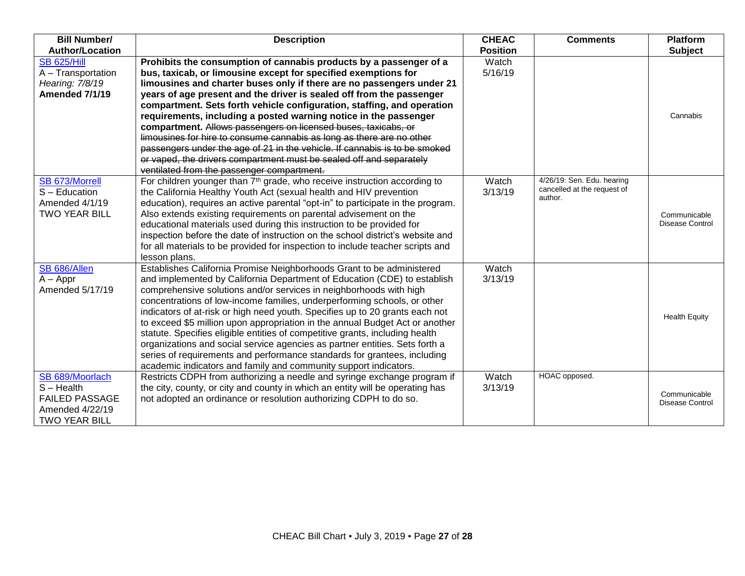| <b>Bill Number/</b>    | <b>Description</b>                                                                     | <b>CHEAC</b>    | <b>Comments</b>                                           | <b>Platform</b>                        |
|------------------------|----------------------------------------------------------------------------------------|-----------------|-----------------------------------------------------------|----------------------------------------|
| <b>Author/Location</b> |                                                                                        | <b>Position</b> |                                                           | <b>Subject</b>                         |
| <b>SB 625/Hill</b>     | Prohibits the consumption of cannabis products by a passenger of a                     | Watch           |                                                           |                                        |
| A - Transportation     | bus, taxicab, or limousine except for specified exemptions for                         | 5/16/19         |                                                           |                                        |
| Hearing: 7/8/19        | limousines and charter buses only if there are no passengers under 21                  |                 |                                                           |                                        |
| <b>Amended 7/1/19</b>  | years of age present and the driver is sealed off from the passenger                   |                 |                                                           |                                        |
|                        | compartment. Sets forth vehicle configuration, staffing, and operation                 |                 |                                                           |                                        |
|                        | requirements, including a posted warning notice in the passenger                       |                 |                                                           | Cannabis                               |
|                        | compartment. Allows passengers on licensed buses, taxicabs, or                         |                 |                                                           |                                        |
|                        | limousines for hire to consume cannabis as long as there are no other                  |                 |                                                           |                                        |
|                        | passengers under the age of 21 in the vehicle. If cannabis is to be smoked             |                 |                                                           |                                        |
|                        | or vaped, the drivers compartment must be sealed off and separately                    |                 |                                                           |                                        |
|                        | ventilated from the passenger compartment.                                             |                 |                                                           |                                        |
| SB 673/Morrell         | For children younger than $7th$ grade, who receive instruction according to            | Watch           | 4/26/19: Sen. Edu. hearing<br>cancelled at the request of |                                        |
| S - Education          | the California Healthy Youth Act (sexual health and HIV prevention                     | 3/13/19         | author.                                                   |                                        |
| Amended 4/1/19         | education), requires an active parental "opt-in" to participate in the program.        |                 |                                                           |                                        |
| <b>TWO YEAR BILL</b>   | Also extends existing requirements on parental advisement on the                       |                 |                                                           | Communicable<br><b>Disease Control</b> |
|                        | educational materials used during this instruction to be provided for                  |                 |                                                           |                                        |
|                        | inspection before the date of instruction on the school district's website and         |                 |                                                           |                                        |
|                        | for all materials to be provided for inspection to include teacher scripts and         |                 |                                                           |                                        |
| SB 686/Allen           | lesson plans.<br>Establishes California Promise Neighborhoods Grant to be administered | Watch           |                                                           |                                        |
| $A - Appr$             | and implemented by California Department of Education (CDE) to establish               | 3/13/19         |                                                           |                                        |
| Amended 5/17/19        | comprehensive solutions and/or services in neighborhoods with high                     |                 |                                                           |                                        |
|                        | concentrations of low-income families, underperforming schools, or other               |                 |                                                           |                                        |
|                        | indicators of at-risk or high need youth. Specifies up to 20 grants each not           |                 |                                                           |                                        |
|                        | to exceed \$5 million upon appropriation in the annual Budget Act or another           |                 |                                                           | <b>Health Equity</b>                   |
|                        | statute. Specifies eligible entities of competitive grants, including health           |                 |                                                           |                                        |
|                        | organizations and social service agencies as partner entities. Sets forth a            |                 |                                                           |                                        |
|                        | series of requirements and performance standards for grantees, including               |                 |                                                           |                                        |
|                        | academic indicators and family and community support indicators.                       |                 |                                                           |                                        |
| SB 689/Moorlach        | Restricts CDPH from authorizing a needle and syringe exchange program if               | Watch           | HOAC opposed.                                             |                                        |
| $S - Health$           | the city, county, or city and county in which an entity will be operating has          | 3/13/19         |                                                           |                                        |
| <b>FAILED PASSAGE</b>  | not adopted an ordinance or resolution authorizing CDPH to do so.                      |                 |                                                           | Communicable<br><b>Disease Control</b> |
| Amended 4/22/19        |                                                                                        |                 |                                                           |                                        |
| <b>TWO YEAR BILL</b>   |                                                                                        |                 |                                                           |                                        |